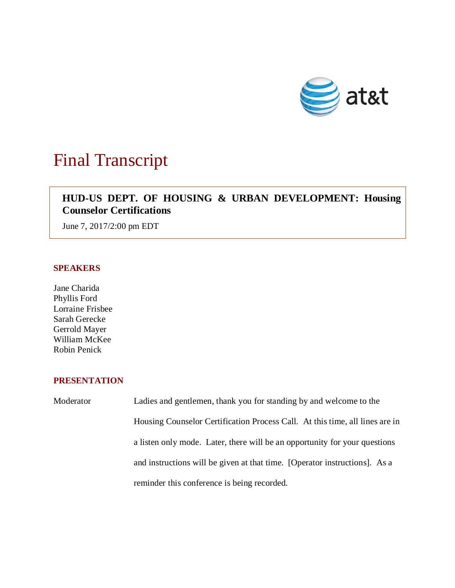

# Final Transcript

## **HUD-US DEPT. OF HOUSING & URBAN DEVELOPMENT: Housing Counselor Certifications**

June 7, 2017/2:00 pm EDT

#### **SPEAKERS**

Jane Charida Phyllis Ford Lorraine Frisbee Sarah Gerecke Gerrold Mayer William McKee Robin Penick

#### **PRESENTATION**

Moderator Ladies and gentlemen, thank you for standing by and welcome to the Housing Counselor Certification Process Call. At this time, all lines are in a listen only mode. Later, there will be an opportunity for your questions and instructions will be given at that time. [Operator instructions]. As a reminder this conference is being recorded.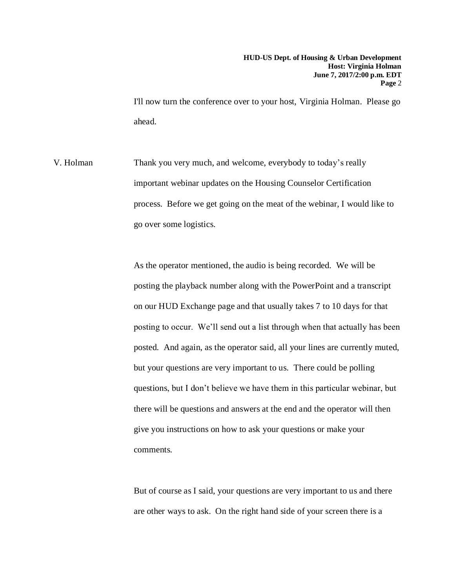I'll now turn the conference over to your host, Virginia Holman. Please go ahead.

V. Holman Thank you very much, and welcome, everybody to today's really important webinar updates on the Housing Counselor Certification process. Before we get going on the meat of the webinar, I would like to go over some logistics.

> As the operator mentioned, the audio is being recorded. We will be posting the playback number along with the PowerPoint and a transcript on our HUD Exchange page and that usually takes 7 to 10 days for that posting to occur. We'll send out a list through when that actually has been posted. And again, as the operator said, all your lines are currently muted, but your questions are very important to us. There could be polling questions, but I don't believe we have them in this particular webinar, but there will be questions and answers at the end and the operator will then give you instructions on how to ask your questions or make your comments.

But of course as I said, your questions are very important to us and there are other ways to ask. On the right hand side of your screen there is a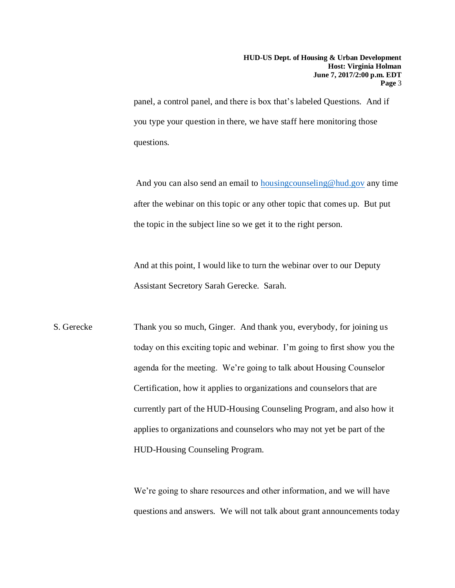panel, a control panel, and there is box that's labeled Questions. And if you type your question in there, we have staff here monitoring those questions.

And you can also send an email to [housingcounseling@hud.gov](mailto:housingcounseling@hud.gov) any time after the webinar on this topic or any other topic that comes up. But put the topic in the subject line so we get it to the right person.

And at this point, I would like to turn the webinar over to our Deputy Assistant Secretory Sarah Gerecke. Sarah.

S. Gerecke Thank you so much, Ginger. And thank you, everybody, for joining us today on this exciting topic and webinar. I'm going to first show you the agenda for the meeting. We're going to talk about Housing Counselor Certification, how it applies to organizations and counselors that are currently part of the HUD-Housing Counseling Program, and also how it applies to organizations and counselors who may not yet be part of the HUD-Housing Counseling Program.

> We're going to share resources and other information, and we will have questions and answers. We will not talk about grant announcements today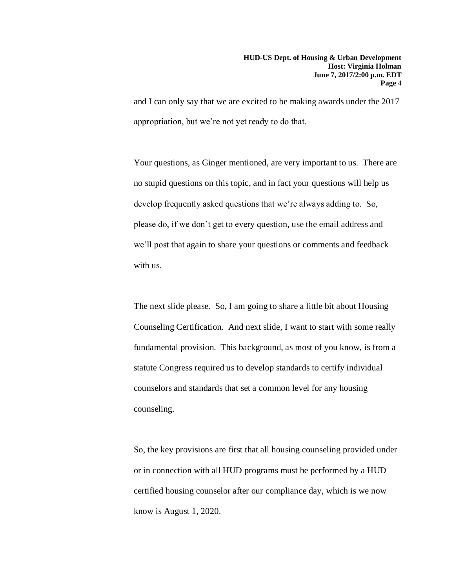and I can only say that we are excited to be making awards under the 2017 appropriation, but we're not yet ready to do that.

Your questions, as Ginger mentioned, are very important to us. There are no stupid questions on this topic, and in fact your questions will help us develop frequently asked questions that we're always adding to. So, please do, if we don't get to every question, use the email address and we'll post that again to share your questions or comments and feedback with us.

The next slide please. So, I am going to share a little bit about Housing Counseling Certification. And next slide, I want to start with some really fundamental provision. This background, as most of you know, is from a statute Congress required us to develop standards to certify individual counselors and standards that set a common level for any housing counseling.

So, the key provisions are first that all housing counseling provided under or in connection with all HUD programs must be performed by a HUD certified housing counselor after our compliance day, which is we now know is August 1, 2020.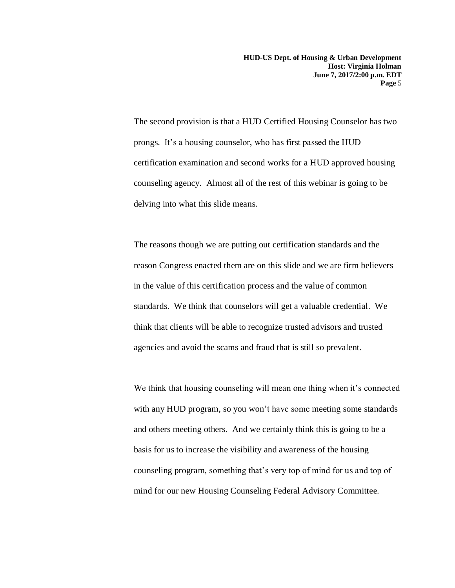The second provision is that a HUD Certified Housing Counselor has two prongs. It's a housing counselor, who has first passed the HUD certification examination and second works for a HUD approved housing counseling agency. Almost all of the rest of this webinar is going to be delving into what this slide means.

The reasons though we are putting out certification standards and the reason Congress enacted them are on this slide and we are firm believers in the value of this certification process and the value of common standards. We think that counselors will get a valuable credential. We think that clients will be able to recognize trusted advisors and trusted agencies and avoid the scams and fraud that is still so prevalent.

We think that housing counseling will mean one thing when it's connected with any HUD program, so you won't have some meeting some standards and others meeting others. And we certainly think this is going to be a basis for us to increase the visibility and awareness of the housing counseling program, something that's very top of mind for us and top of mind for our new Housing Counseling Federal Advisory Committee.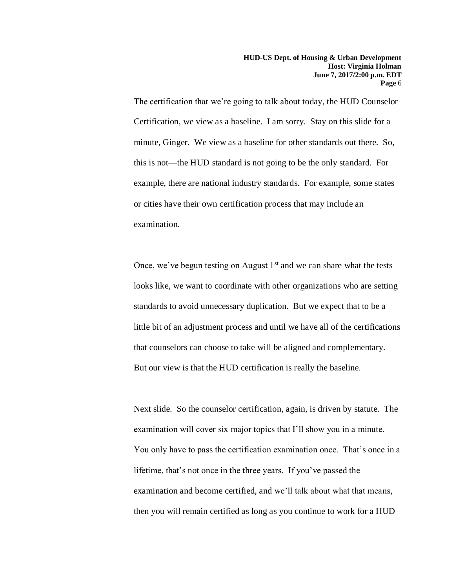The certification that we're going to talk about today, the HUD Counselor Certification, we view as a baseline. I am sorry. Stay on this slide for a minute, Ginger. We view as a baseline for other standards out there. So, this is not—the HUD standard is not going to be the only standard. For example, there are national industry standards. For example, some states or cities have their own certification process that may include an examination.

Once, we've begun testing on August  $1<sup>st</sup>$  and we can share what the tests looks like, we want to coordinate with other organizations who are setting standards to avoid unnecessary duplication. But we expect that to be a little bit of an adjustment process and until we have all of the certifications that counselors can choose to take will be aligned and complementary. But our view is that the HUD certification is really the baseline.

Next slide. So the counselor certification, again, is driven by statute. The examination will cover six major topics that I'll show you in a minute. You only have to pass the certification examination once. That's once in a lifetime, that's not once in the three years. If you've passed the examination and become certified, and we'll talk about what that means, then you will remain certified as long as you continue to work for a HUD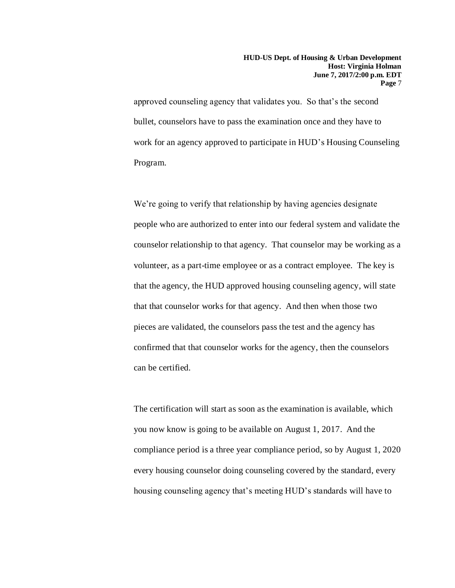approved counseling agency that validates you. So that's the second bullet, counselors have to pass the examination once and they have to work for an agency approved to participate in HUD's Housing Counseling Program.

We're going to verify that relationship by having agencies designate people who are authorized to enter into our federal system and validate the counselor relationship to that agency. That counselor may be working as a volunteer, as a part-time employee or as a contract employee. The key is that the agency, the HUD approved housing counseling agency, will state that that counselor works for that agency. And then when those two pieces are validated, the counselors pass the test and the agency has confirmed that that counselor works for the agency, then the counselors can be certified.

The certification will start as soon as the examination is available, which you now know is going to be available on August 1, 2017. And the compliance period is a three year compliance period, so by August 1, 2020 every housing counselor doing counseling covered by the standard, every housing counseling agency that's meeting HUD's standards will have to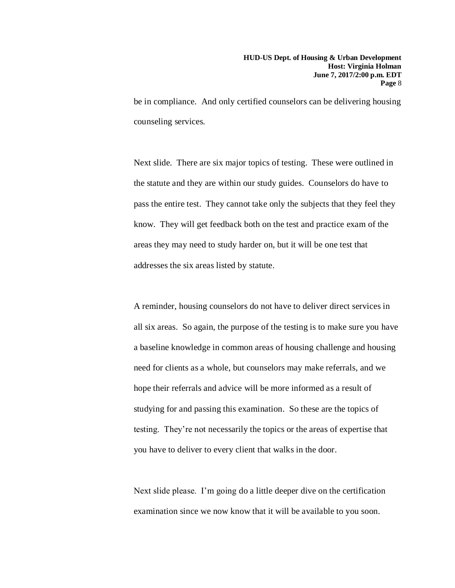be in compliance. And only certified counselors can be delivering housing counseling services.

Next slide. There are six major topics of testing. These were outlined in the statute and they are within our study guides. Counselors do have to pass the entire test. They cannot take only the subjects that they feel they know. They will get feedback both on the test and practice exam of the areas they may need to study harder on, but it will be one test that addresses the six areas listed by statute.

A reminder, housing counselors do not have to deliver direct services in all six areas. So again, the purpose of the testing is to make sure you have a baseline knowledge in common areas of housing challenge and housing need for clients as a whole, but counselors may make referrals, and we hope their referrals and advice will be more informed as a result of studying for and passing this examination. So these are the topics of testing. They're not necessarily the topics or the areas of expertise that you have to deliver to every client that walks in the door.

Next slide please. I'm going do a little deeper dive on the certification examination since we now know that it will be available to you soon.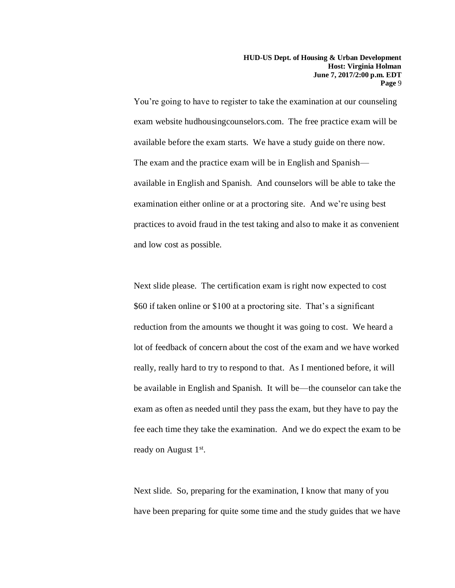You're going to have to register to take the examination at our counseling exam website hudhousingcounselors.com. The free practice exam will be available before the exam starts. We have a study guide on there now. The exam and the practice exam will be in English and Spanish available in English and Spanish. And counselors will be able to take the examination either online or at a proctoring site. And we're using best practices to avoid fraud in the test taking and also to make it as convenient and low cost as possible.

Next slide please. The certification exam is right now expected to cost \$60 if taken online or \$100 at a proctoring site. That's a significant reduction from the amounts we thought it was going to cost. We heard a lot of feedback of concern about the cost of the exam and we have worked really, really hard to try to respond to that. As I mentioned before, it will be available in English and Spanish. It will be—the counselor can take the exam as often as needed until they pass the exam, but they have to pay the fee each time they take the examination. And we do expect the exam to be ready on August 1<sup>st</sup>.

Next slide. So, preparing for the examination, I know that many of you have been preparing for quite some time and the study guides that we have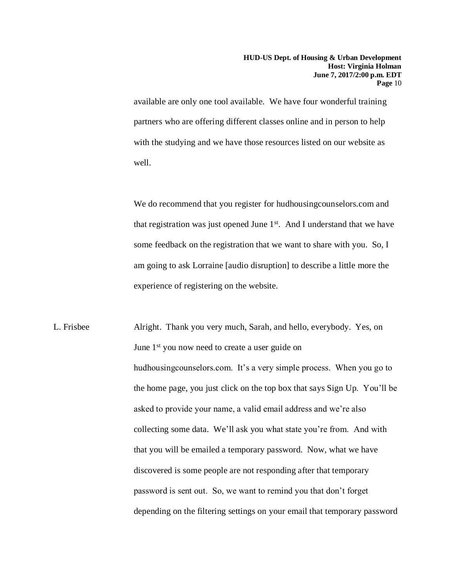available are only one tool available. We have four wonderful training partners who are offering different classes online and in person to help with the studying and we have those resources listed on our website as well.

We do recommend that you register for hudhousingcounselors.com and that registration was just opened June  $1<sup>st</sup>$ . And I understand that we have some feedback on the registration that we want to share with you. So, I am going to ask Lorraine [audio disruption] to describe a little more the experience of registering on the website.

L. Frisbee Alright. Thank you very much, Sarah, and hello, everybody. Yes, on June 1<sup>st</sup> you now need to create a user guide on hudhousingcounselors.com. It's a very simple process. When you go to the home page, you just click on the top box that says Sign Up. You'll be asked to provide your name, a valid email address and we're also collecting some data. We'll ask you what state you're from. And with that you will be emailed a temporary password. Now, what we have discovered is some people are not responding after that temporary password is sent out. So, we want to remind you that don't forget depending on the filtering settings on your email that temporary password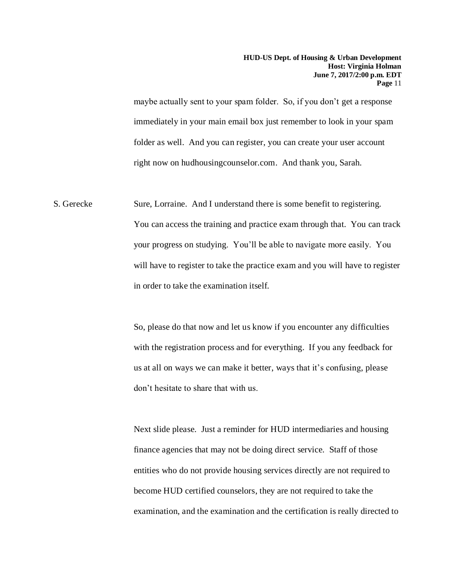maybe actually sent to your spam folder. So, if you don't get a response immediately in your main email box just remember to look in your spam folder as well. And you can register, you can create your user account right now on hudhousingcounselor.com. And thank you, Sarah.

S. Gerecke Sure, Lorraine. And I understand there is some benefit to registering. You can access the training and practice exam through that. You can track your progress on studying. You'll be able to navigate more easily. You will have to register to take the practice exam and you will have to register in order to take the examination itself.

> So, please do that now and let us know if you encounter any difficulties with the registration process and for everything. If you any feedback for us at all on ways we can make it better, ways that it's confusing, please don't hesitate to share that with us.

Next slide please. Just a reminder for HUD intermediaries and housing finance agencies that may not be doing direct service. Staff of those entities who do not provide housing services directly are not required to become HUD certified counselors, they are not required to take the examination, and the examination and the certification is really directed to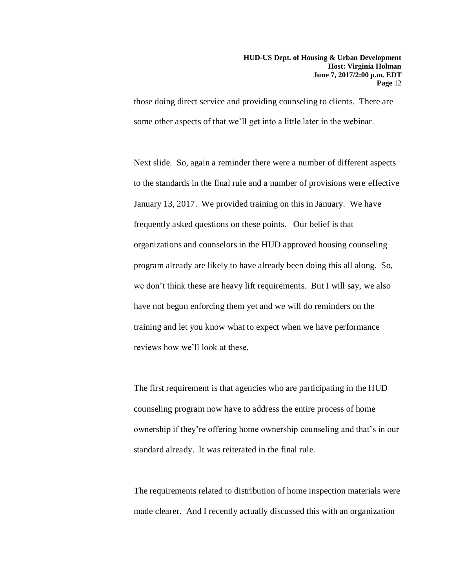those doing direct service and providing counseling to clients. There are some other aspects of that we'll get into a little later in the webinar.

Next slide. So, again a reminder there were a number of different aspects to the standards in the final rule and a number of provisions were effective January 13, 2017. We provided training on this in January. We have frequently asked questions on these points. Our belief is that organizations and counselors in the HUD approved housing counseling program already are likely to have already been doing this all along. So, we don't think these are heavy lift requirements. But I will say, we also have not begun enforcing them yet and we will do reminders on the training and let you know what to expect when we have performance reviews how we'll look at these.

The first requirement is that agencies who are participating in the HUD counseling program now have to address the entire process of home ownership if they're offering home ownership counseling and that's in our standard already. It was reiterated in the final rule.

The requirements related to distribution of home inspection materials were made clearer. And I recently actually discussed this with an organization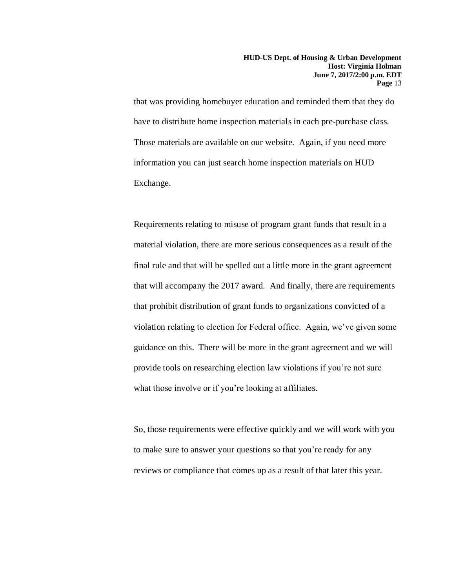that was providing homebuyer education and reminded them that they do have to distribute home inspection materials in each pre-purchase class. Those materials are available on our website. Again, if you need more information you can just search home inspection materials on HUD Exchange.

Requirements relating to misuse of program grant funds that result in a material violation, there are more serious consequences as a result of the final rule and that will be spelled out a little more in the grant agreement that will accompany the 2017 award. And finally, there are requirements that prohibit distribution of grant funds to organizations convicted of a violation relating to election for Federal office. Again, we've given some guidance on this. There will be more in the grant agreement and we will provide tools on researching election law violations if you're not sure what those involve or if you're looking at affiliates.

So, those requirements were effective quickly and we will work with you to make sure to answer your questions so that you're ready for any reviews or compliance that comes up as a result of that later this year.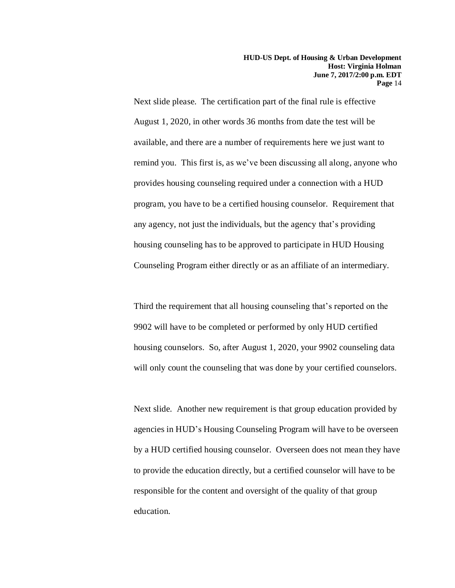Next slide please. The certification part of the final rule is effective August 1, 2020, in other words 36 months from date the test will be available, and there are a number of requirements here we just want to remind you. This first is, as we've been discussing all along, anyone who provides housing counseling required under a connection with a HUD program, you have to be a certified housing counselor. Requirement that any agency, not just the individuals, but the agency that's providing housing counseling has to be approved to participate in HUD Housing Counseling Program either directly or as an affiliate of an intermediary.

Third the requirement that all housing counseling that's reported on the 9902 will have to be completed or performed by only HUD certified housing counselors. So, after August 1, 2020, your 9902 counseling data will only count the counseling that was done by your certified counselors.

Next slide. Another new requirement is that group education provided by agencies in HUD's Housing Counseling Program will have to be overseen by a HUD certified housing counselor. Overseen does not mean they have to provide the education directly, but a certified counselor will have to be responsible for the content and oversight of the quality of that group education.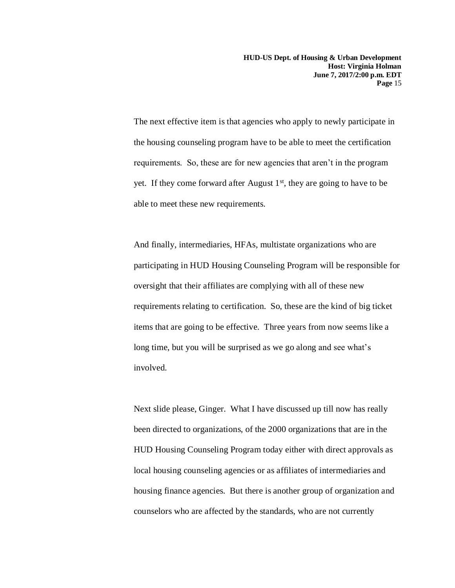The next effective item is that agencies who apply to newly participate in the housing counseling program have to be able to meet the certification requirements. So, these are for new agencies that aren't in the program yet. If they come forward after August  $1<sup>st</sup>$ , they are going to have to be able to meet these new requirements.

And finally, intermediaries, HFAs, multistate organizations who are participating in HUD Housing Counseling Program will be responsible for oversight that their affiliates are complying with all of these new requirements relating to certification. So, these are the kind of big ticket items that are going to be effective. Three years from now seems like a long time, but you will be surprised as we go along and see what's involved.

Next slide please, Ginger. What I have discussed up till now has really been directed to organizations, of the 2000 organizations that are in the HUD Housing Counseling Program today either with direct approvals as local housing counseling agencies or as affiliates of intermediaries and housing finance agencies. But there is another group of organization and counselors who are affected by the standards, who are not currently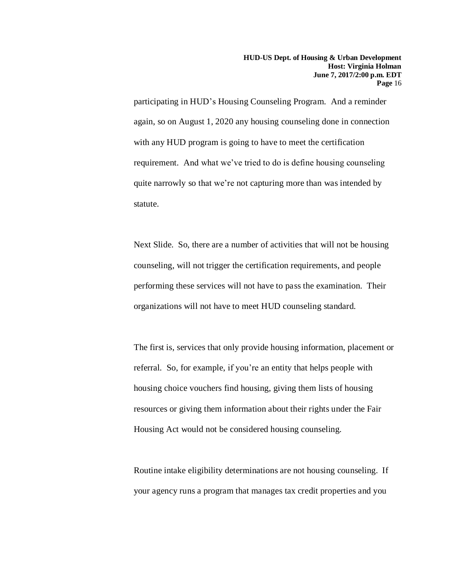participating in HUD's Housing Counseling Program. And a reminder again, so on August 1, 2020 any housing counseling done in connection with any HUD program is going to have to meet the certification requirement. And what we've tried to do is define housing counseling quite narrowly so that we're not capturing more than was intended by statute.

Next Slide. So, there are a number of activities that will not be housing counseling, will not trigger the certification requirements, and people performing these services will not have to pass the examination. Their organizations will not have to meet HUD counseling standard.

The first is, services that only provide housing information, placement or referral. So, for example, if you're an entity that helps people with housing choice vouchers find housing, giving them lists of housing resources or giving them information about their rights under the Fair Housing Act would not be considered housing counseling.

Routine intake eligibility determinations are not housing counseling. If your agency runs a program that manages tax credit properties and you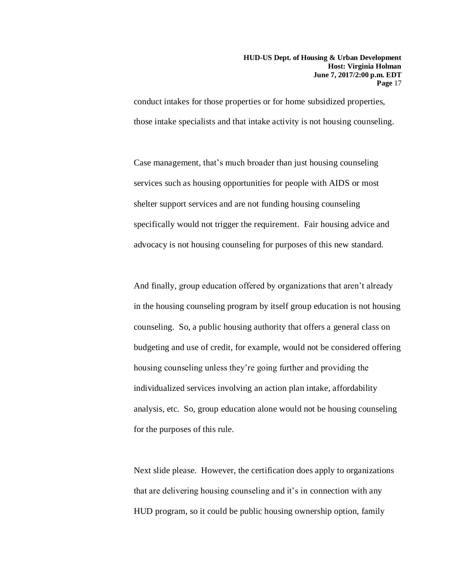conduct intakes for those properties or for home subsidized properties, those intake specialists and that intake activity is not housing counseling.

Case management, that's much broader than just housing counseling services such as housing opportunities for people with AIDS or most shelter support services and are not funding housing counseling specifically would not trigger the requirement. Fair housing advice and advocacy is not housing counseling for purposes of this new standard.

And finally, group education offered by organizations that aren't already in the housing counseling program by itself group education is not housing counseling. So, a public housing authority that offers a general class on budgeting and use of credit, for example, would not be considered offering housing counseling unless they're going further and providing the individualized services involving an action plan intake, affordability analysis, etc. So, group education alone would not be housing counseling for the purposes of this rule.

Next slide please. However, the certification does apply to organizations that are delivering housing counseling and it's in connection with any HUD program, so it could be public housing ownership option, family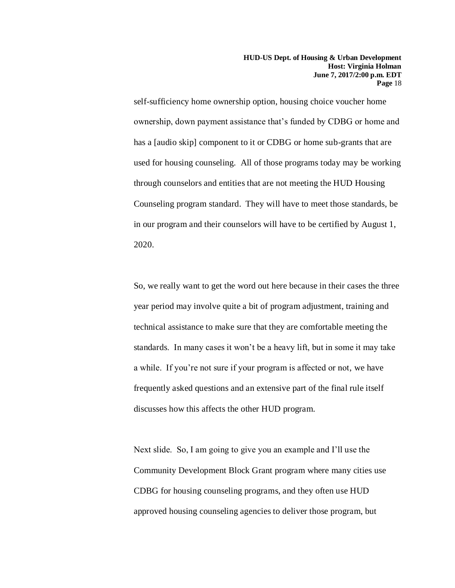self-sufficiency home ownership option, housing choice voucher home ownership, down payment assistance that's funded by CDBG or home and has a [audio skip] component to it or CDBG or home sub-grants that are used for housing counseling. All of those programs today may be working through counselors and entities that are not meeting the HUD Housing Counseling program standard. They will have to meet those standards, be in our program and their counselors will have to be certified by August 1, 2020.

So, we really want to get the word out here because in their cases the three year period may involve quite a bit of program adjustment, training and technical assistance to make sure that they are comfortable meeting the standards. In many cases it won't be a heavy lift, but in some it may take a while. If you're not sure if your program is affected or not, we have frequently asked questions and an extensive part of the final rule itself discusses how this affects the other HUD program.

Next slide. So, I am going to give you an example and I'll use the Community Development Block Grant program where many cities use CDBG for housing counseling programs, and they often use HUD approved housing counseling agencies to deliver those program, but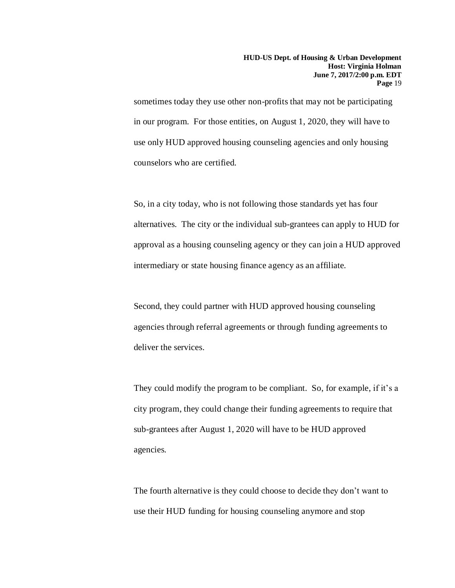sometimes today they use other non-profits that may not be participating in our program. For those entities, on August 1, 2020, they will have to use only HUD approved housing counseling agencies and only housing counselors who are certified.

So, in a city today, who is not following those standards yet has four alternatives. The city or the individual sub-grantees can apply to HUD for approval as a housing counseling agency or they can join a HUD approved intermediary or state housing finance agency as an affiliate.

Second, they could partner with HUD approved housing counseling agencies through referral agreements or through funding agreements to deliver the services.

They could modify the program to be compliant. So, for example, if it's a city program, they could change their funding agreements to require that sub-grantees after August 1, 2020 will have to be HUD approved agencies.

The fourth alternative is they could choose to decide they don't want to use their HUD funding for housing counseling anymore and stop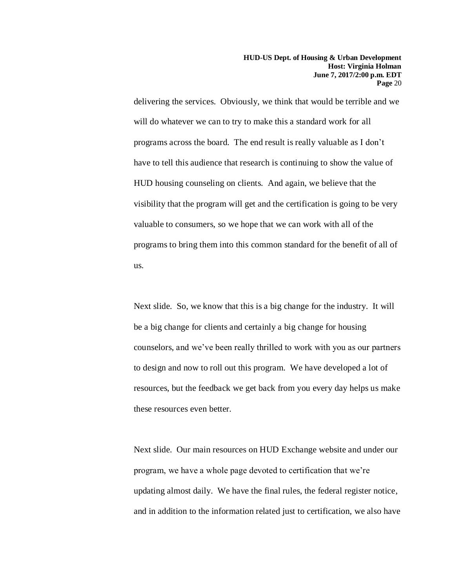delivering the services. Obviously, we think that would be terrible and we will do whatever we can to try to make this a standard work for all programs across the board. The end result is really valuable as I don't have to tell this audience that research is continuing to show the value of HUD housing counseling on clients. And again, we believe that the visibility that the program will get and the certification is going to be very valuable to consumers, so we hope that we can work with all of the programs to bring them into this common standard for the benefit of all of us.

Next slide. So, we know that this is a big change for the industry. It will be a big change for clients and certainly a big change for housing counselors, and we've been really thrilled to work with you as our partners to design and now to roll out this program. We have developed a lot of resources, but the feedback we get back from you every day helps us make these resources even better.

Next slide. Our main resources on HUD Exchange website and under our program, we have a whole page devoted to certification that we're updating almost daily. We have the final rules, the federal register notice, and in addition to the information related just to certification, we also have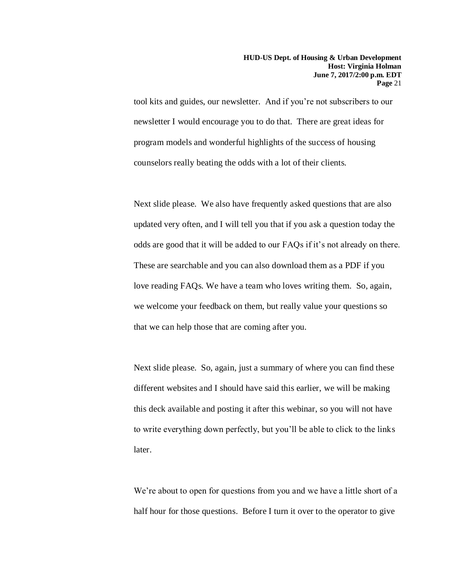tool kits and guides, our newsletter. And if you're not subscribers to our newsletter I would encourage you to do that. There are great ideas for program models and wonderful highlights of the success of housing counselors really beating the odds with a lot of their clients.

Next slide please. We also have frequently asked questions that are also updated very often, and I will tell you that if you ask a question today the odds are good that it will be added to our FAQs if it's not already on there. These are searchable and you can also download them as a PDF if you love reading FAQs. We have a team who loves writing them. So, again, we welcome your feedback on them, but really value your questions so that we can help those that are coming after you.

Next slide please. So, again, just a summary of where you can find these different websites and I should have said this earlier, we will be making this deck available and posting it after this webinar, so you will not have to write everything down perfectly, but you'll be able to click to the links later.

We're about to open for questions from you and we have a little short of a half hour for those questions. Before I turn it over to the operator to give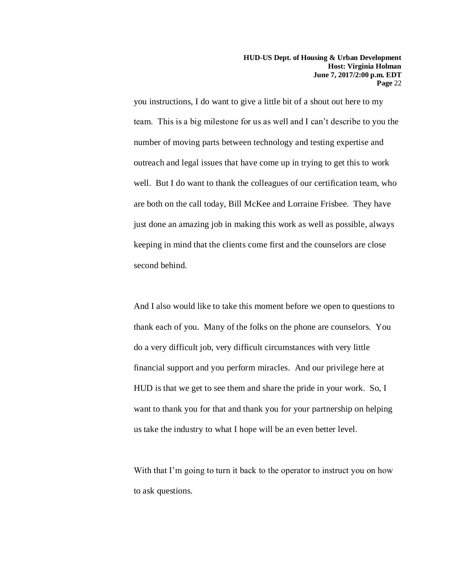you instructions, I do want to give a little bit of a shout out here to my team. This is a big milestone for us as well and I can't describe to you the number of moving parts between technology and testing expertise and outreach and legal issues that have come up in trying to get this to work well. But I do want to thank the colleagues of our certification team, who are both on the call today, Bill McKee and Lorraine Frisbee. They have just done an amazing job in making this work as well as possible, always keeping in mind that the clients come first and the counselors are close second behind.

And I also would like to take this moment before we open to questions to thank each of you. Many of the folks on the phone are counselors. You do a very difficult job, very difficult circumstances with very little financial support and you perform miracles. And our privilege here at HUD is that we get to see them and share the pride in your work. So, I want to thank you for that and thank you for your partnership on helping us take the industry to what I hope will be an even better level.

With that I'm going to turn it back to the operator to instruct you on how to ask questions.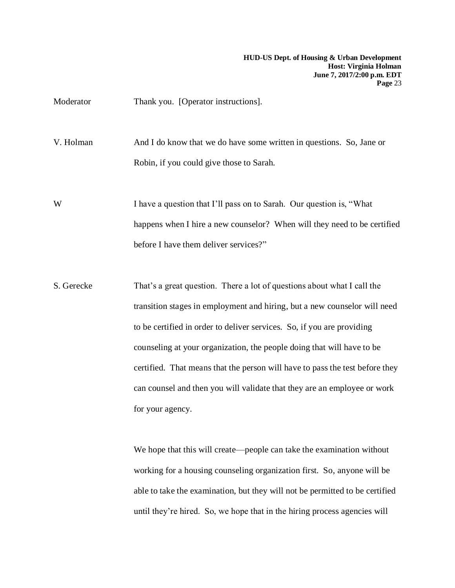Moderator Thank you. [Operator instructions]. V. Holman And I do know that we do have some written in questions. So, Jane or Robin, if you could give those to Sarah. W I have a question that I'll pass on to Sarah. Our question is, "What happens when I hire a new counselor? When will they need to be certified before I have them deliver services?" S. Gerecke That's a great question. There a lot of questions about what I call the transition stages in employment and hiring, but a new counselor will need

to be certified in order to deliver services. So, if you are providing counseling at your organization, the people doing that will have to be certified. That means that the person will have to pass the test before they can counsel and then you will validate that they are an employee or work for your agency.

> We hope that this will create—people can take the examination without working for a housing counseling organization first. So, anyone will be able to take the examination, but they will not be permitted to be certified until they're hired. So, we hope that in the hiring process agencies will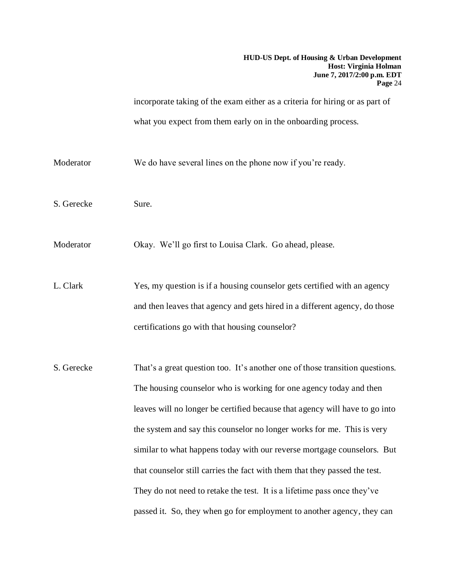incorporate taking of the exam either as a criteria for hiring or as part of what you expect from them early on in the onboarding process.

Moderator We do have several lines on the phone now if you're ready.

S. Gerecke Sure.

Moderator Okay. We'll go first to Louisa Clark. Go ahead, please.

L. Clark Yes, my question is if a housing counselor gets certified with an agency and then leaves that agency and gets hired in a different agency, do those certifications go with that housing counselor?

S. Gerecke That's a great question too. It's another one of those transition questions. The housing counselor who is working for one agency today and then leaves will no longer be certified because that agency will have to go into the system and say this counselor no longer works for me. This is very similar to what happens today with our reverse mortgage counselors. But that counselor still carries the fact with them that they passed the test. They do not need to retake the test. It is a lifetime pass once they've passed it. So, they when go for employment to another agency, they can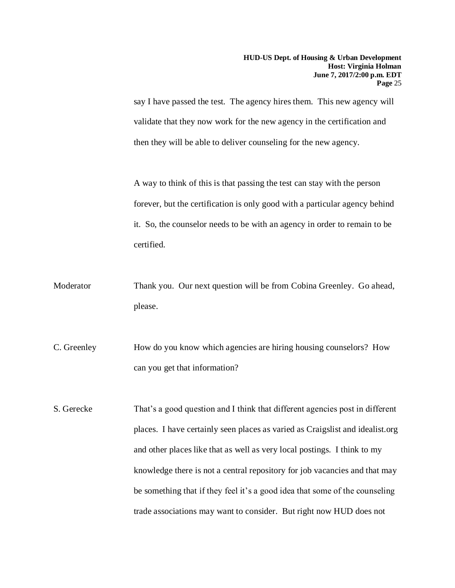say I have passed the test. The agency hires them. This new agency will validate that they now work for the new agency in the certification and then they will be able to deliver counseling for the new agency.

A way to think of this is that passing the test can stay with the person forever, but the certification is only good with a particular agency behind it. So, the counselor needs to be with an agency in order to remain to be certified.

- Moderator Thank you. Our next question will be from Cobina Greenley. Go ahead, please.
- C. Greenley How do you know which agencies are hiring housing counselors? How can you get that information?
- S. Gerecke That's a good question and I think that different agencies post in different places. I have certainly seen places as varied as Craigslist and idealist.org and other places like that as well as very local postings. I think to my knowledge there is not a central repository for job vacancies and that may be something that if they feel it's a good idea that some of the counseling trade associations may want to consider. But right now HUD does not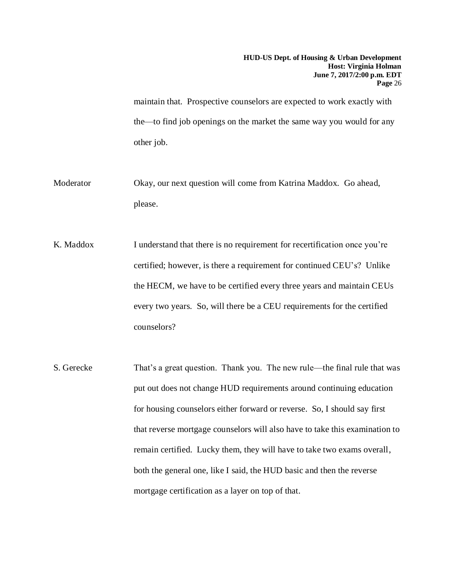maintain that. Prospective counselors are expected to work exactly with the—to find job openings on the market the same way you would for any other job.

- Moderator Okay, our next question will come from Katrina Maddox. Go ahead, please.
- K. Maddox I understand that there is no requirement for recertification once you're certified; however, is there a requirement for continued CEU's? Unlike the HECM, we have to be certified every three years and maintain CEUs every two years. So, will there be a CEU requirements for the certified counselors?
- S. Gerecke That's a great question. Thank you. The new rule—the final rule that was put out does not change HUD requirements around continuing education for housing counselors either forward or reverse. So, I should say first that reverse mortgage counselors will also have to take this examination to remain certified. Lucky them, they will have to take two exams overall, both the general one, like I said, the HUD basic and then the reverse mortgage certification as a layer on top of that.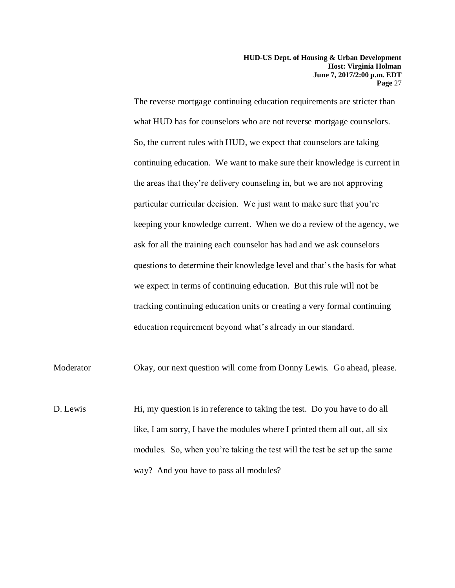The reverse mortgage continuing education requirements are stricter than what HUD has for counselors who are not reverse mortgage counselors. So, the current rules with HUD, we expect that counselors are taking continuing education. We want to make sure their knowledge is current in the areas that they're delivery counseling in, but we are not approving particular curricular decision. We just want to make sure that you're keeping your knowledge current. When we do a review of the agency, we ask for all the training each counselor has had and we ask counselors questions to determine their knowledge level and that's the basis for what we expect in terms of continuing education. But this rule will not be tracking continuing education units or creating a very formal continuing education requirement beyond what's already in our standard.

Moderator Okay, our next question will come from Donny Lewis. Go ahead, please.

D. Lewis Hi, my question is in reference to taking the test. Do you have to do all like, I am sorry, I have the modules where I printed them all out, all six modules. So, when you're taking the test will the test be set up the same way? And you have to pass all modules?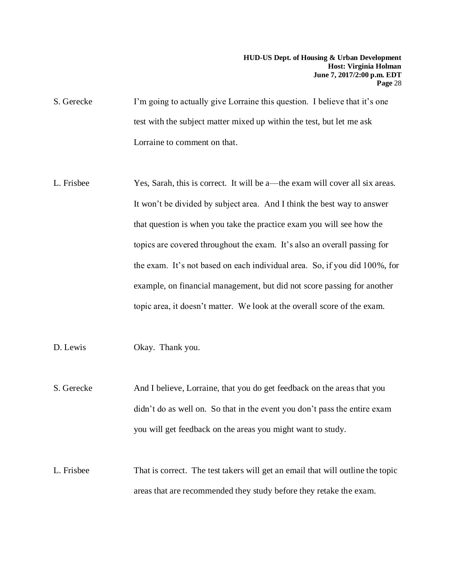- S. Gerecke I'm going to actually give Lorraine this question. I believe that it's one test with the subject matter mixed up within the test, but let me ask Lorraine to comment on that.
- L. Frisbee Yes, Sarah, this is correct. It will be a—the exam will cover all six areas. It won't be divided by subject area. And I think the best way to answer that question is when you take the practice exam you will see how the topics are covered throughout the exam. It's also an overall passing for the exam. It's not based on each individual area. So, if you did 100%, for example, on financial management, but did not score passing for another topic area, it doesn't matter. We look at the overall score of the exam.

D. Lewis Okay. Thank you.

- S. Gerecke And I believe, Lorraine, that you do get feedback on the areas that you didn't do as well on. So that in the event you don't pass the entire exam you will get feedback on the areas you might want to study.
- L. Frisbee That is correct. The test takers will get an email that will outline the topic areas that are recommended they study before they retake the exam.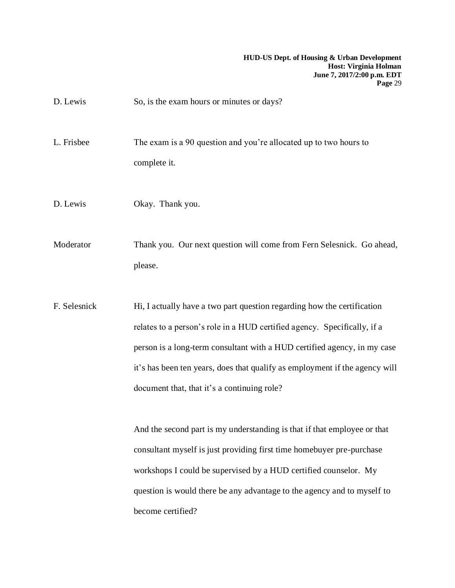D. Lewis So, is the exam hours or minutes or days?

L. Frisbee The exam is a 90 question and you're allocated up to two hours to complete it.

D. Lewis Okay. Thank you.

Moderator Thank you. Our next question will come from Fern Selesnick. Go ahead, please.

F. Selesnick Hi, I actually have a two part question regarding how the certification relates to a person's role in a HUD certified agency. Specifically, if a person is a long-term consultant with a HUD certified agency, in my case it's has been ten years, does that qualify as employment if the agency will document that, that it's a continuing role?

> And the second part is my understanding is that if that employee or that consultant myself is just providing first time homebuyer pre-purchase workshops I could be supervised by a HUD certified counselor. My question is would there be any advantage to the agency and to myself to become certified?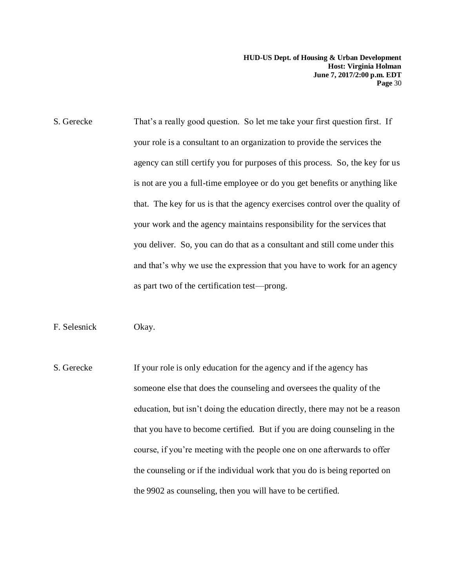S. Gerecke That's a really good question. So let me take your first question first. If your role is a consultant to an organization to provide the services the agency can still certify you for purposes of this process. So, the key for us is not are you a full-time employee or do you get benefits or anything like that. The key for us is that the agency exercises control over the quality of your work and the agency maintains responsibility for the services that you deliver. So, you can do that as a consultant and still come under this and that's why we use the expression that you have to work for an agency as part two of the certification test—prong.

### F. Selesnick Okay.

S. Gerecke If your role is only education for the agency and if the agency has someone else that does the counseling and oversees the quality of the education, but isn't doing the education directly, there may not be a reason that you have to become certified. But if you are doing counseling in the course, if you're meeting with the people one on one afterwards to offer the counseling or if the individual work that you do is being reported on the 9902 as counseling, then you will have to be certified.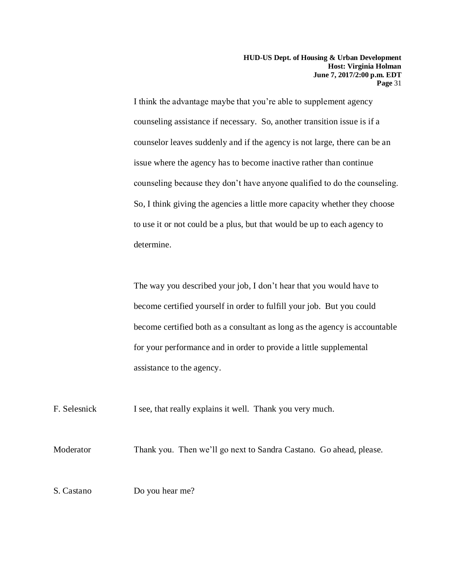I think the advantage maybe that you're able to supplement agency counseling assistance if necessary. So, another transition issue is if a counselor leaves suddenly and if the agency is not large, there can be an issue where the agency has to become inactive rather than continue counseling because they don't have anyone qualified to do the counseling. So, I think giving the agencies a little more capacity whether they choose to use it or not could be a plus, but that would be up to each agency to determine.

The way you described your job, I don't hear that you would have to become certified yourself in order to fulfill your job. But you could become certified both as a consultant as long as the agency is accountable for your performance and in order to provide a little supplemental assistance to the agency.

F. Selesnick I see, that really explains it well. Thank you very much.

Moderator Thank you. Then we'll go next to Sandra Castano. Go ahead, please.

S. Castano Do you hear me?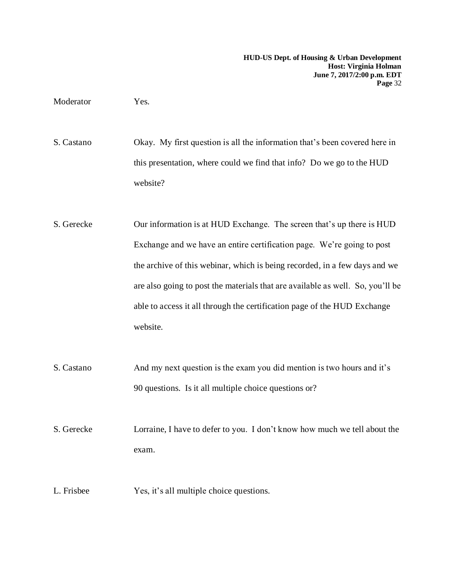Moderator Yes.

S. Castano Okay. My first question is all the information that's been covered here in this presentation, where could we find that info? Do we go to the HUD website?

- S. Gerecke Our information is at HUD Exchange. The screen that's up there is HUD Exchange and we have an entire certification page. We're going to post the archive of this webinar, which is being recorded, in a few days and we are also going to post the materials that are available as well. So, you'll be able to access it all through the certification page of the HUD Exchange website.
- S. Castano And my next question is the exam you did mention is two hours and it's 90 questions. Is it all multiple choice questions or?
- S. Gerecke Lorraine, I have to defer to you. I don't know how much we tell about the exam.
- L. Frisbee Yes, it's all multiple choice questions.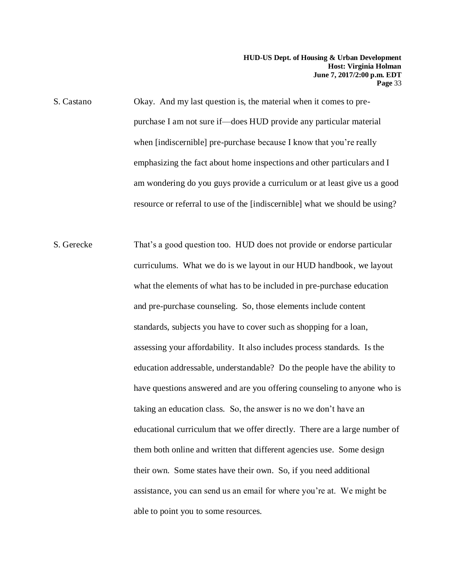S. Castano Okay. And my last question is, the material when it comes to prepurchase I am not sure if—does HUD provide any particular material when [indiscernible] pre-purchase because I know that you're really emphasizing the fact about home inspections and other particulars and I am wondering do you guys provide a curriculum or at least give us a good resource or referral to use of the [indiscernible] what we should be using?

S. Gerecke That's a good question too. HUD does not provide or endorse particular curriculums. What we do is we layout in our HUD handbook, we layout what the elements of what has to be included in pre-purchase education and pre-purchase counseling. So, those elements include content standards, subjects you have to cover such as shopping for a loan, assessing your affordability. It also includes process standards. Is the education addressable, understandable? Do the people have the ability to have questions answered and are you offering counseling to anyone who is taking an education class. So, the answer is no we don't have an educational curriculum that we offer directly. There are a large number of them both online and written that different agencies use. Some design their own. Some states have their own. So, if you need additional assistance, you can send us an email for where you're at. We might be able to point you to some resources.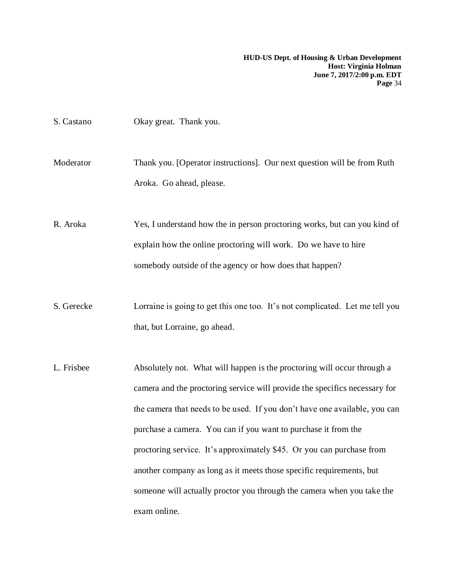| S. Castano | Okay great. Thank you.                                                                                                                                                                                                                                                                                                                                                                                                                                                                                                                           |
|------------|--------------------------------------------------------------------------------------------------------------------------------------------------------------------------------------------------------------------------------------------------------------------------------------------------------------------------------------------------------------------------------------------------------------------------------------------------------------------------------------------------------------------------------------------------|
| Moderator  | Thank you. [Operator instructions]. Our next question will be from Ruth<br>Aroka. Go ahead, please.                                                                                                                                                                                                                                                                                                                                                                                                                                              |
| R. Aroka   | Yes, I understand how the in person proctoring works, but can you kind of<br>explain how the online proctoring will work. Do we have to hire<br>somebody outside of the agency or how does that happen?                                                                                                                                                                                                                                                                                                                                          |
| S. Gerecke | Lorraine is going to get this one too. It's not complicated. Let me tell you<br>that, but Lorraine, go ahead.                                                                                                                                                                                                                                                                                                                                                                                                                                    |
| L. Frisbee | Absolutely not. What will happen is the proctoring will occur through a<br>camera and the proctoring service will provide the specifics necessary for<br>the camera that needs to be used. If you don't have one available, you can<br>purchase a camera. You can if you want to purchase it from the<br>proctoring service. It's approximately \$45. Or you can purchase from<br>another company as long as it meets those specific requirements, but<br>someone will actually proctor you through the camera when you take the<br>exam online. |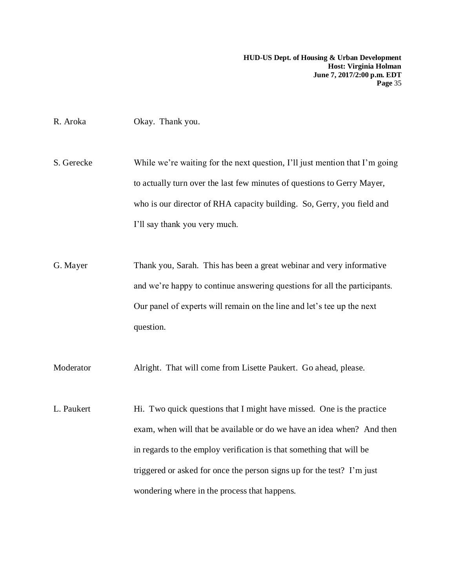R. Aroka Okay. Thank you.

S. Gerecke While we're waiting for the next question, I'll just mention that I'm going to actually turn over the last few minutes of questions to Gerry Mayer, who is our director of RHA capacity building. So, Gerry, you field and I'll say thank you very much.

G. Mayer Thank you, Sarah. This has been a great webinar and very informative and we're happy to continue answering questions for all the participants. Our panel of experts will remain on the line and let's tee up the next question.

Moderator Alright. That will come from Lisette Paukert. Go ahead, please.

L. Paukert Hi. Two quick questions that I might have missed. One is the practice exam, when will that be available or do we have an idea when? And then in regards to the employ verification is that something that will be triggered or asked for once the person signs up for the test? I'm just wondering where in the process that happens.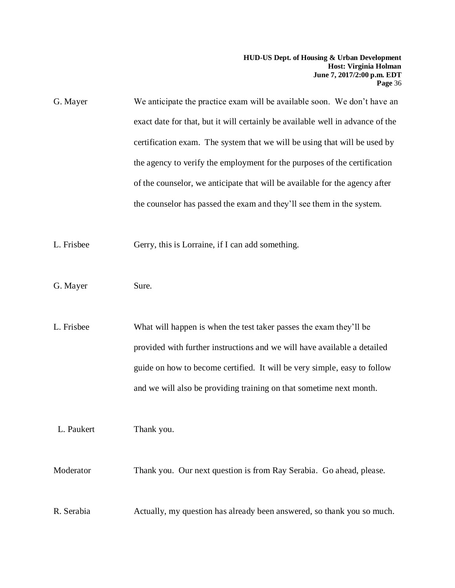| G. Mayer | We anticipate the practice exam will be available soon. We don't have an       |
|----------|--------------------------------------------------------------------------------|
|          | exact date for that, but it will certainly be available well in advance of the |
|          | certification exam. The system that we will be using that will be used by      |
|          | the agency to verify the employment for the purposes of the certification      |
|          | of the counselor, we anticipate that will be available for the agency after    |
|          | the counselor has passed the exam and they'll see them in the system.          |

- L. Frisbee Gerry, this is Lorraine, if I can add something.
- G. Mayer Sure.

L. Frisbee What will happen is when the test taker passes the exam they'll be provided with further instructions and we will have available a detailed guide on how to become certified. It will be very simple, easy to follow and we will also be providing training on that sometime next month.

L. Paukert Thank you.

Moderator Thank you. Our next question is from Ray Serabia. Go ahead, please. R. Serabia Actually, my question has already been answered, so thank you so much.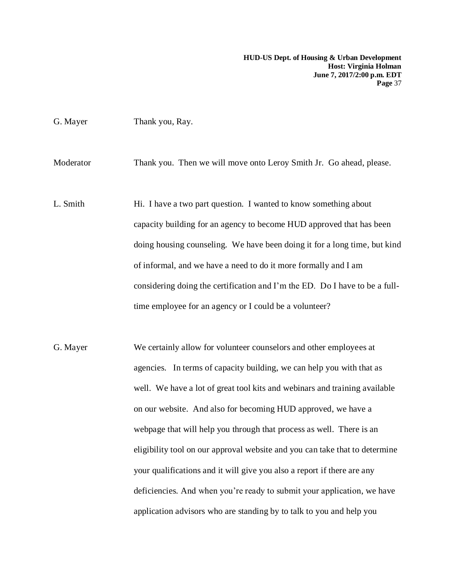G. Mayer Thank you, Ray. Moderator Thank you. Then we will move onto Leroy Smith Jr. Go ahead, please. L. Smith Hi. I have a two part question. I wanted to know something about capacity building for an agency to become HUD approved that has been doing housing counseling. We have been doing it for a long time, but kind of informal, and we have a need to do it more formally and I am considering doing the certification and I'm the ED. Do I have to be a fulltime employee for an agency or I could be a volunteer?

G. Mayer We certainly allow for volunteer counselors and other employees at agencies. In terms of capacity building, we can help you with that as well. We have a lot of great tool kits and webinars and training available on our website. And also for becoming HUD approved, we have a webpage that will help you through that process as well. There is an eligibility tool on our approval website and you can take that to determine your qualifications and it will give you also a report if there are any deficiencies. And when you're ready to submit your application, we have application advisors who are standing by to talk to you and help you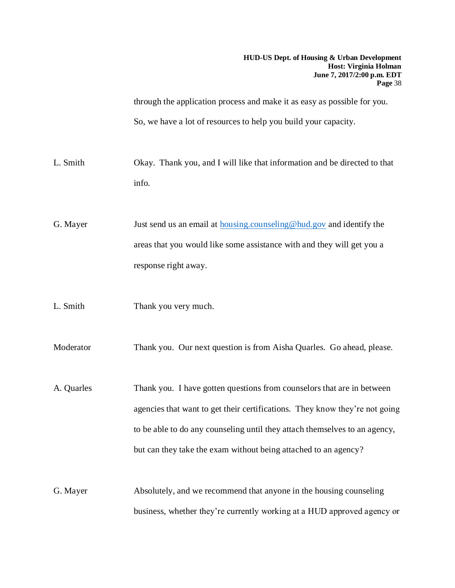through the application process and make it as easy as possible for you. So, we have a lot of resources to help you build your capacity.

L. Smith Okay. Thank you, and I will like that information and be directed to that info.

G. Mayer Just send us an email at [housing.counseling@hud.gov](mailto:housing.counseling@hud.gov) and identify the areas that you would like some assistance with and they will get you a response right away.

L. Smith Thank you very much.

Moderator Thank you. Our next question is from Aisha Quarles. Go ahead, please.

A. Quarles Thank you. I have gotten questions from counselors that are in between agencies that want to get their certifications. They know they're not going to be able to do any counseling until they attach themselves to an agency, but can they take the exam without being attached to an agency?

G. Mayer Absolutely, and we recommend that anyone in the housing counseling business, whether they're currently working at a HUD approved agency or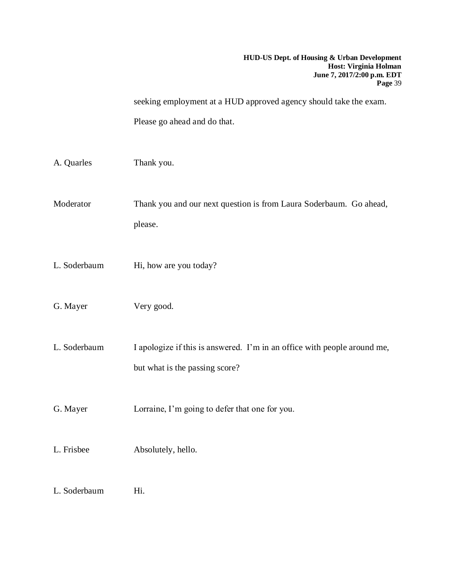seeking employment at a HUD approved agency should take the exam. Please go ahead and do that.

A. Quarles Thank you. Moderator Thank you and our next question is from Laura Soderbaum. Go ahead, please. L. Soderbaum Hi, how are you today? G. Mayer Very good. L. Soderbaum I apologize if this is answered. I'm in an office with people around me, but what is the passing score? G. Mayer Lorraine, I'm going to defer that one for you. L. Frisbee Absolutely, hello. L. Soderbaum Hi.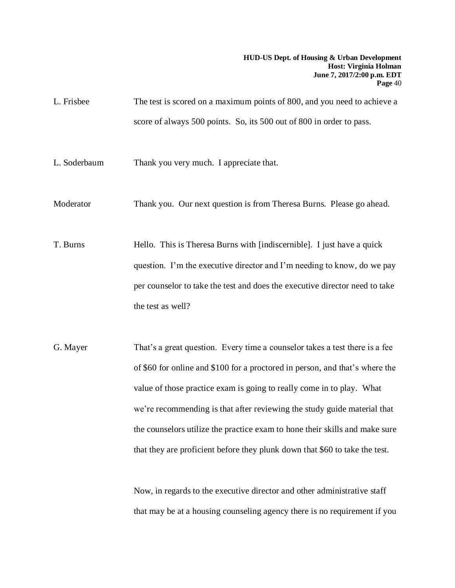- L. Frisbee The test is scored on a maximum points of 800, and you need to achieve a score of always 500 points. So, its 500 out of 800 in order to pass.
- L. Soderbaum Thank you very much. I appreciate that.
- Moderator Thank you. Our next question is from Theresa Burns. Please go ahead.
- T. Burns Hello. This is Theresa Burns with [indiscernible]. I just have a quick question. I'm the executive director and I'm needing to know, do we pay per counselor to take the test and does the executive director need to take the test as well?
- G. Mayer That's a great question. Every time a counselor takes a test there is a fee of \$60 for online and \$100 for a proctored in person, and that's where the value of those practice exam is going to really come in to play. What we're recommending is that after reviewing the study guide material that the counselors utilize the practice exam to hone their skills and make sure that they are proficient before they plunk down that \$60 to take the test.

Now, in regards to the executive director and other administrative staff that may be at a housing counseling agency there is no requirement if you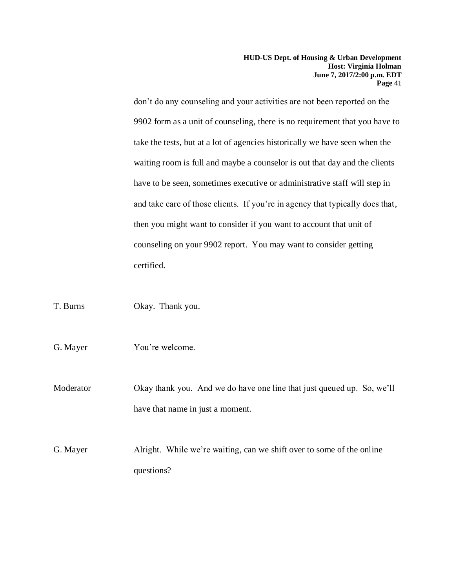don't do any counseling and your activities are not been reported on the 9902 form as a unit of counseling, there is no requirement that you have to take the tests, but at a lot of agencies historically we have seen when the waiting room is full and maybe a counselor is out that day and the clients have to be seen, sometimes executive or administrative staff will step in and take care of those clients. If you're in agency that typically does that, then you might want to consider if you want to account that unit of counseling on your 9902 report. You may want to consider getting certified.

T. Burns Okay. Thank you.

G. Mayer You're welcome.

Moderator Okay thank you. And we do have one line that just queued up. So, we'll have that name in just a moment.

G. Mayer Alright. While we're waiting, can we shift over to some of the online questions?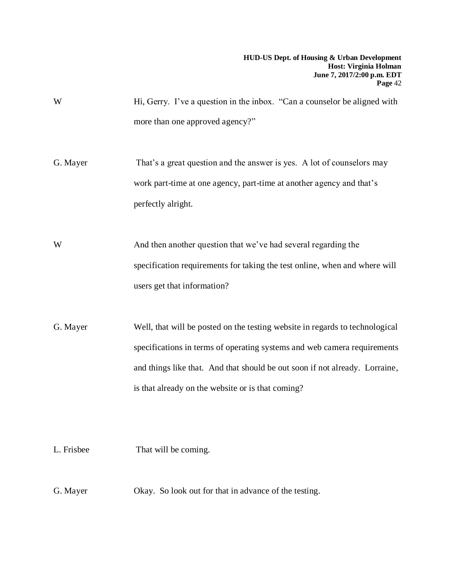G. Mayer That's a great question and the answer is yes. A lot of counselors may work part-time at one agency, part-time at another agency and that's perfectly alright.

W And then another question that we've had several regarding the specification requirements for taking the test online, when and where will users get that information?

G. Mayer Well, that will be posted on the testing website in regards to technological specifications in terms of operating systems and web camera requirements and things like that. And that should be out soon if not already. Lorraine, is that already on the website or is that coming?

L. Frisbee That will be coming. G. Mayer Okay. So look out for that in advance of the testing.

W Hi, Gerry. I've a question in the inbox. "Can a counselor be aligned with more than one approved agency?"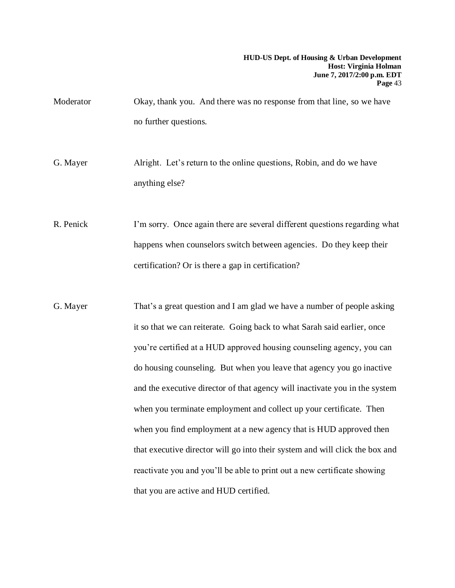Moderator Okay, thank you. And there was no response from that line, so we have no further questions.

G. Mayer Alright. Let's return to the online questions, Robin, and do we have anything else?

R. Penick I'm sorry. Once again there are several different questions regarding what happens when counselors switch between agencies. Do they keep their certification? Or is there a gap in certification?

G. Mayer That's a great question and I am glad we have a number of people asking it so that we can reiterate. Going back to what Sarah said earlier, once you're certified at a HUD approved housing counseling agency, you can do housing counseling. But when you leave that agency you go inactive and the executive director of that agency will inactivate you in the system when you terminate employment and collect up your certificate. Then when you find employment at a new agency that is HUD approved then that executive director will go into their system and will click the box and reactivate you and you'll be able to print out a new certificate showing that you are active and HUD certified.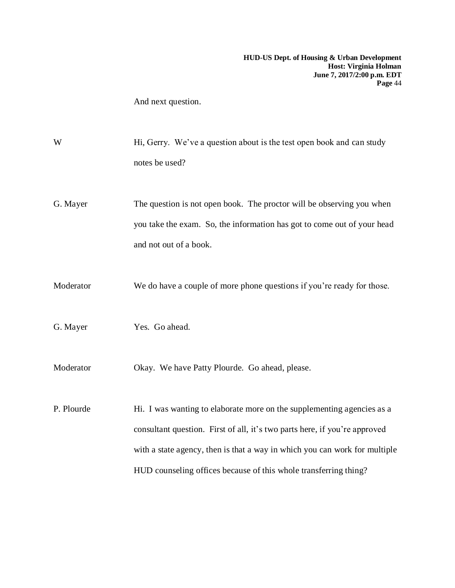And next question.

| W          | Hi, Gerry. We've a question about is the test open book and can study<br>notes be used?                                                                                                                                                                                                                |
|------------|--------------------------------------------------------------------------------------------------------------------------------------------------------------------------------------------------------------------------------------------------------------------------------------------------------|
| G. Mayer   | The question is not open book. The proctor will be observing you when<br>you take the exam. So, the information has got to come out of your head<br>and not out of a book.                                                                                                                             |
| Moderator  | We do have a couple of more phone questions if you're ready for those.                                                                                                                                                                                                                                 |
| G. Mayer   | Yes. Go ahead.                                                                                                                                                                                                                                                                                         |
| Moderator  | Okay. We have Patty Plourde. Go ahead, please.                                                                                                                                                                                                                                                         |
| P. Plourde | Hi. I was wanting to elaborate more on the supplementing agencies as a<br>consultant question. First of all, it's two parts here, if you're approved<br>with a state agency, then is that a way in which you can work for multiple<br>HUD counseling offices because of this whole transferring thing? |
|            |                                                                                                                                                                                                                                                                                                        |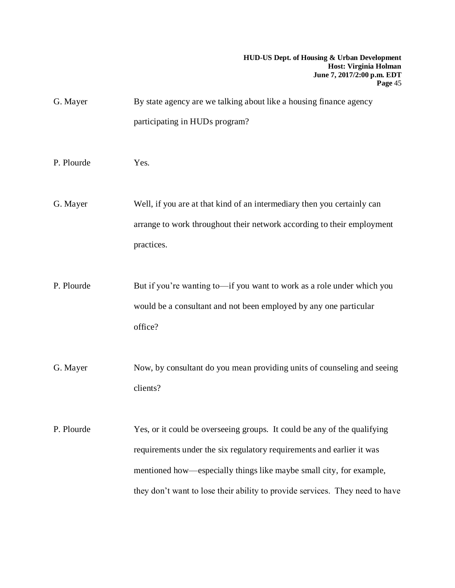| G. Mayer   | By state agency are we talking about like a housing finance agency<br>participating in HUDs program?                                                                                                                                                                                                     |
|------------|----------------------------------------------------------------------------------------------------------------------------------------------------------------------------------------------------------------------------------------------------------------------------------------------------------|
| P. Plourde | Yes.                                                                                                                                                                                                                                                                                                     |
| G. Mayer   | Well, if you are at that kind of an intermediary then you certainly can<br>arrange to work throughout their network according to their employment<br>practices.                                                                                                                                          |
| P. Plourde | But if you're wanting to—if you want to work as a role under which you<br>would be a consultant and not been employed by any one particular<br>office?                                                                                                                                                   |
| G. Mayer   | Now, by consultant do you mean providing units of counseling and seeing<br>clients?                                                                                                                                                                                                                      |
| P. Plourde | Yes, or it could be overseeing groups. It could be any of the qualifying<br>requirements under the six regulatory requirements and earlier it was<br>mentioned how—especially things like maybe small city, for example,<br>they don't want to lose their ability to provide services. They need to have |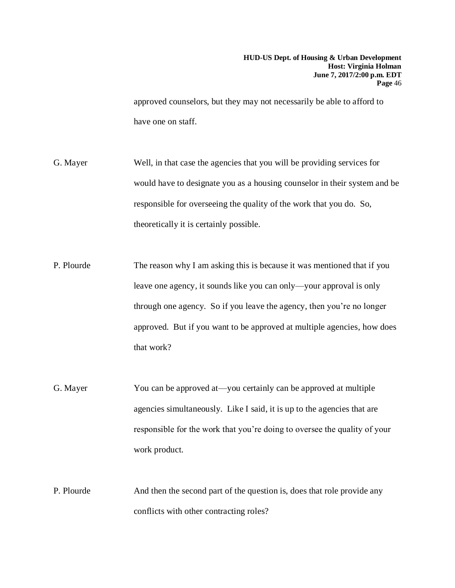approved counselors, but they may not necessarily be able to afford to have one on staff.

G. Mayer Well, in that case the agencies that you will be providing services for would have to designate you as a housing counselor in their system and be responsible for overseeing the quality of the work that you do. So, theoretically it is certainly possible.

P. Plourde The reason why I am asking this is because it was mentioned that if you leave one agency, it sounds like you can only—your approval is only through one agency. So if you leave the agency, then you're no longer approved. But if you want to be approved at multiple agencies, how does that work?

G. Mayer You can be approved at—you certainly can be approved at multiple agencies simultaneously. Like I said, it is up to the agencies that are responsible for the work that you're doing to oversee the quality of your work product.

P. Plourde And then the second part of the question is, does that role provide any conflicts with other contracting roles?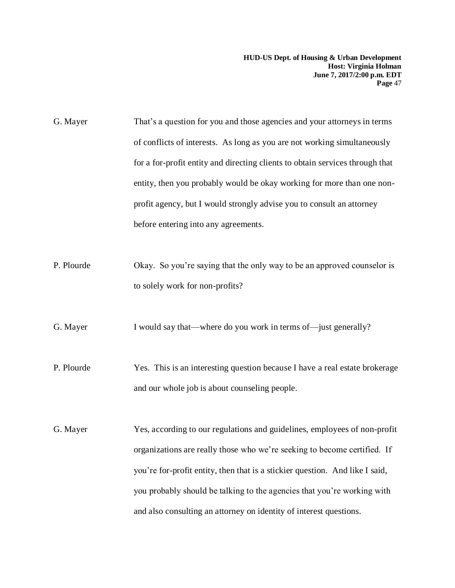G. Mayer That's a question for you and those agencies and your attorneys in terms of conflicts of interests. As long as you are not working simultaneously for a for-profit entity and directing clients to obtain services through that entity, then you probably would be okay working for more than one nonprofit agency, but I would strongly advise you to consult an attorney before entering into any agreements.

P. Plourde Okay. So you're saying that the only way to be an approved counselor is to solely work for non-profits?

G. Mayer I would say that—where do you work in terms of—just generally?

- P. Plourde Yes. This is an interesting question because I have a real estate brokerage and our whole job is about counseling people.
- G. Mayer Yes, according to our regulations and guidelines, employees of non-profit organizations are really those who we're seeking to become certified. If you're for-profit entity, then that is a stickier question. And like I said, you probably should be talking to the agencies that you're working with and also consulting an attorney on identity of interest questions.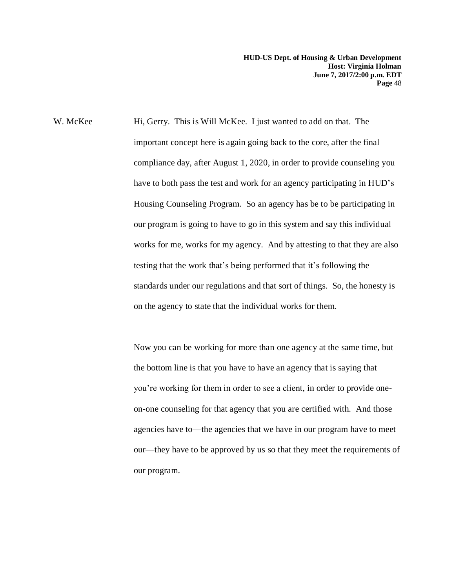W. McKee Hi, Gerry. This is Will McKee. I just wanted to add on that. The important concept here is again going back to the core, after the final compliance day, after August 1, 2020, in order to provide counseling you have to both pass the test and work for an agency participating in HUD's Housing Counseling Program. So an agency has be to be participating in our program is going to have to go in this system and say this individual works for me, works for my agency. And by attesting to that they are also testing that the work that's being performed that it's following the standards under our regulations and that sort of things. So, the honesty is on the agency to state that the individual works for them.

> Now you can be working for more than one agency at the same time, but the bottom line is that you have to have an agency that is saying that you're working for them in order to see a client, in order to provide oneon-one counseling for that agency that you are certified with. And those agencies have to—the agencies that we have in our program have to meet our—they have to be approved by us so that they meet the requirements of our program.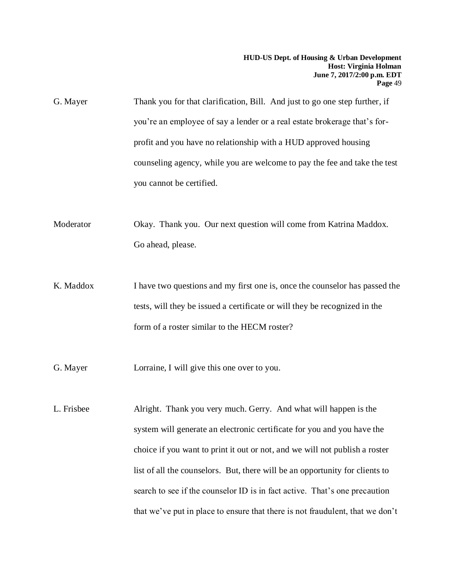G. Mayer Thank you for that clarification, Bill. And just to go one step further, if you're an employee of say a lender or a real estate brokerage that's forprofit and you have no relationship with a HUD approved housing counseling agency, while you are welcome to pay the fee and take the test you cannot be certified.

Moderator Okay. Thank you. Our next question will come from Katrina Maddox. Go ahead, please.

K. Maddox I have two questions and my first one is, once the counselor has passed the tests, will they be issued a certificate or will they be recognized in the form of a roster similar to the HECM roster?

G. Mayer Lorraine, I will give this one over to you.

L. Frisbee Alright. Thank you very much. Gerry. And what will happen is the system will generate an electronic certificate for you and you have the choice if you want to print it out or not, and we will not publish a roster list of all the counselors. But, there will be an opportunity for clients to search to see if the counselor ID is in fact active. That's one precaution that we've put in place to ensure that there is not fraudulent, that we don't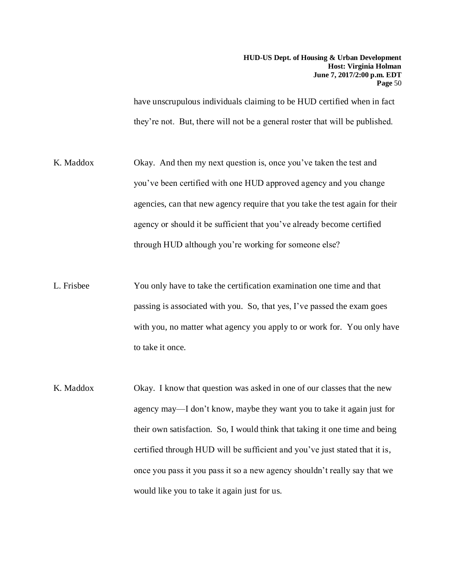have unscrupulous individuals claiming to be HUD certified when in fact they're not. But, there will not be a general roster that will be published.

K. Maddox Okay. And then my next question is, once you've taken the test and you've been certified with one HUD approved agency and you change agencies, can that new agency require that you take the test again for their agency or should it be sufficient that you've already become certified through HUD although you're working for someone else?

- L. Frisbee You only have to take the certification examination one time and that passing is associated with you. So, that yes, I've passed the exam goes with you, no matter what agency you apply to or work for. You only have to take it once.
- K. Maddox Okay. I know that question was asked in one of our classes that the new agency may—I don't know, maybe they want you to take it again just for their own satisfaction. So, I would think that taking it one time and being certified through HUD will be sufficient and you've just stated that it is, once you pass it you pass it so a new agency shouldn't really say that we would like you to take it again just for us.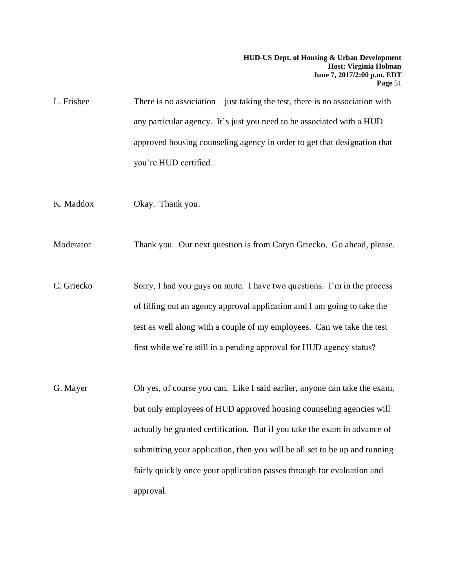- L. Frisbee There is no association—just taking the test, there is no association with any particular agency. It's just you need to be associated with a HUD approved housing counseling agency in order to get that designation that you're HUD certified.
- K. Maddox Okay. Thank you.

Moderator Thank you. Our next question is from Caryn Griecko. Go ahead, please.

C. Griecko Sorry, I had you guys on mute. I have two questions. I'm in the process of filling out an agency approval application and I am going to take the test as well along with a couple of my employees. Can we take the test first while we're still in a pending approval for HUD agency status?

G. Mayer Oh yes, of course you can. Like I said earlier, anyone can take the exam, but only employees of HUD approved housing counseling agencies will actually be granted certification. But if you take the exam in advance of submitting your application, then you will be all set to be up and running fairly quickly once your application passes through for evaluation and approval.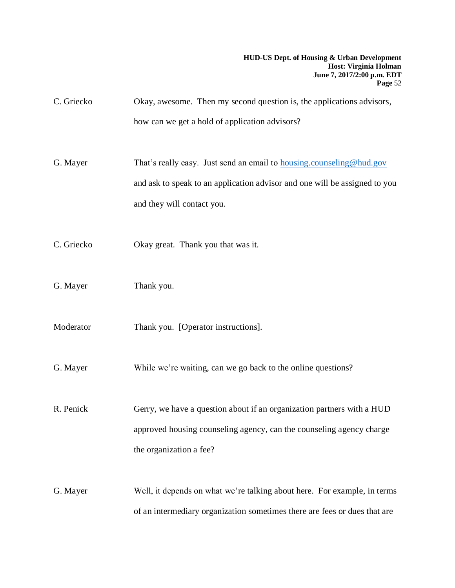| C. Griecko | Okay, awesome. Then my second question is, the applications advisors, |
|------------|-----------------------------------------------------------------------|
|            | how can we get a hold of application advisors?                        |

- G. Mayer That's really easy. Just send an email to [housing.counseling@hud.gov](mailto:housing.counseling@hud.gov) and ask to speak to an application advisor and one will be assigned to you and they will contact you.
- C. Griecko Okay great. Thank you that was it.
- G. Mayer Thank you.
- Moderator Thank you. [Operator instructions].
- G. Mayer While we're waiting, can we go back to the online questions?
- R. Penick Gerry, we have a question about if an organization partners with a HUD approved housing counseling agency, can the counseling agency charge the organization a fee?
- G. Mayer Well, it depends on what we're talking about here. For example, in terms of an intermediary organization sometimes there are fees or dues that are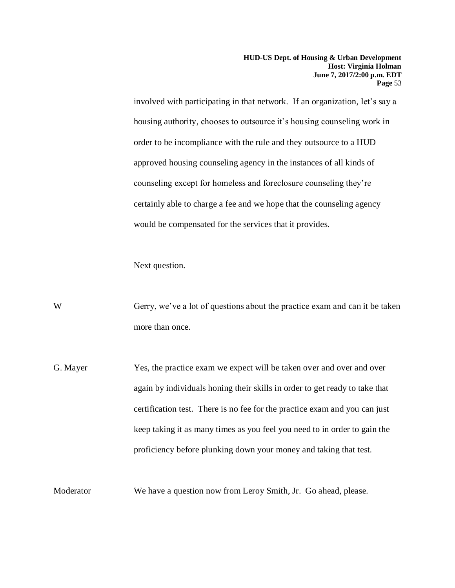involved with participating in that network. If an organization, let's say a housing authority, chooses to outsource it's housing counseling work in order to be incompliance with the rule and they outsource to a HUD approved housing counseling agency in the instances of all kinds of counseling except for homeless and foreclosure counseling they're certainly able to charge a fee and we hope that the counseling agency would be compensated for the services that it provides.

Next question.

W Gerry, we've a lot of questions about the practice exam and can it be taken more than once.

G. Mayer Yes, the practice exam we expect will be taken over and over and over again by individuals honing their skills in order to get ready to take that certification test. There is no fee for the practice exam and you can just keep taking it as many times as you feel you need to in order to gain the proficiency before plunking down your money and taking that test.

Moderator We have a question now from Leroy Smith, Jr. Go ahead, please.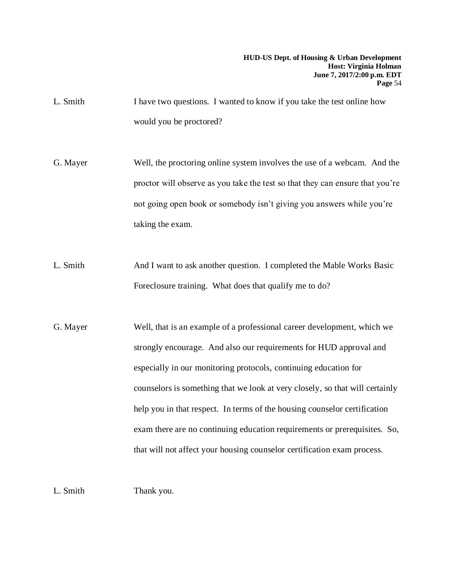- L. Smith I have two questions. I wanted to know if you take the test online how would you be proctored?
- G. Mayer Well, the proctoring online system involves the use of a webcam. And the proctor will observe as you take the test so that they can ensure that you're not going open book or somebody isn't giving you answers while you're taking the exam.
- L. Smith And I want to ask another question. I completed the Mable Works Basic Foreclosure training. What does that qualify me to do?
- G. Mayer Well, that is an example of a professional career development, which we strongly encourage. And also our requirements for HUD approval and especially in our monitoring protocols, continuing education for counselors is something that we look at very closely, so that will certainly help you in that respect. In terms of the housing counselor certification exam there are no continuing education requirements or prerequisites. So, that will not affect your housing counselor certification exam process.

L. Smith Thank you.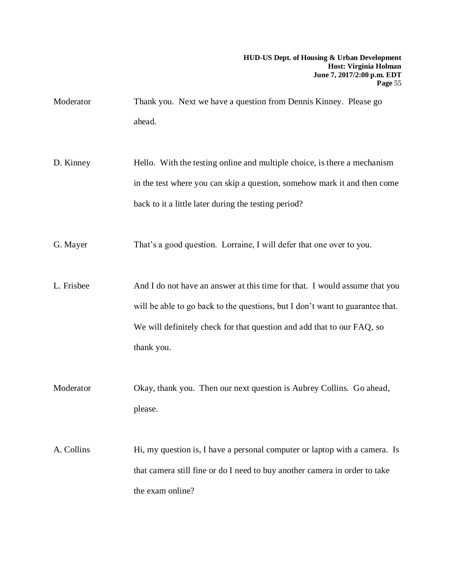- Moderator Thank you. Next we have a question from Dennis Kinney. Please go ahead.
- D. Kinney Hello. With the testing online and multiple choice, is there a mechanism in the test where you can skip a question, somehow mark it and then come back to it a little later during the testing period?
- G. Mayer That's a good question. Lorraine, I will defer that one over to you.
- L. Frisbee And I do not have an answer at this time for that. I would assume that you will be able to go back to the questions, but I don't want to guarantee that. We will definitely check for that question and add that to our FAQ, so thank you.
- Moderator Okay, thank you. Then our next question is Aubrey Collins. Go ahead, please.
- A. Collins Hi, my question is, I have a personal computer or laptop with a camera. Is that camera still fine or do I need to buy another camera in order to take the exam online?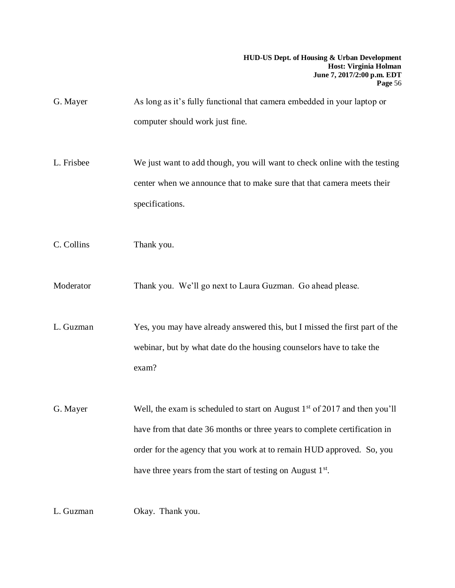- G. Mayer As long as it's fully functional that camera embedded in your laptop or computer should work just fine.
- L. Frisbee We just want to add though, you will want to check online with the testing center when we announce that to make sure that that camera meets their specifications.
- C. Collins Thank you.

Moderator Thank you. We'll go next to Laura Guzman. Go ahead please.

L. Guzman Yes, you may have already answered this, but I missed the first part of the webinar, but by what date do the housing counselors have to take the exam?

G. Mayer Well, the exam is scheduled to start on August 1<sup>st</sup> of 2017 and then you'll have from that date 36 months or three years to complete certification in order for the agency that you work at to remain HUD approved. So, you have three years from the start of testing on August 1<sup>st</sup>.

L. Guzman Okay. Thank you.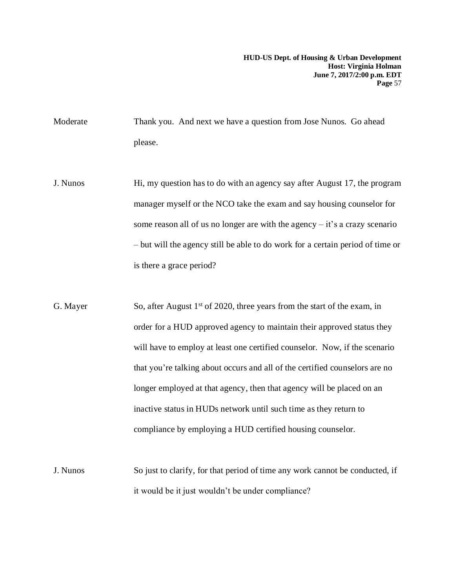Moderate Thank you. And next we have a question from Jose Nunos. Go ahead please.

- J. Nunos Hi, my question has to do with an agency say after August 17, the program manager myself or the NCO take the exam and say housing counselor for some reason all of us no longer are with the agency  $-$  it's a crazy scenario – but will the agency still be able to do work for a certain period of time or is there a grace period?
- G. Mayer So, after August  $1<sup>st</sup>$  of 2020, three years from the start of the exam, in order for a HUD approved agency to maintain their approved status they will have to employ at least one certified counselor. Now, if the scenario that you're talking about occurs and all of the certified counselors are no longer employed at that agency, then that agency will be placed on an inactive status in HUDs network until such time as they return to compliance by employing a HUD certified housing counselor.
- J. Nunos So just to clarify, for that period of time any work cannot be conducted, if it would be it just wouldn't be under compliance?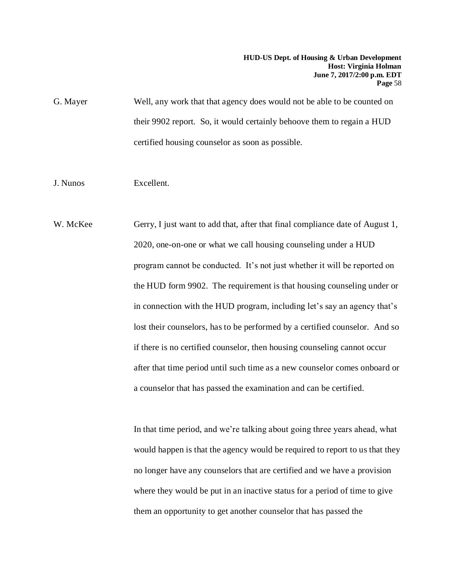G. Mayer Well, any work that that agency does would not be able to be counted on their 9902 report. So, it would certainly behoove them to regain a HUD certified housing counselor as soon as possible.

#### J. Nunos Excellent.

W. McKee Gerry, I just want to add that, after that final compliance date of August 1, 2020, one-on-one or what we call housing counseling under a HUD program cannot be conducted. It's not just whether it will be reported on the HUD form 9902. The requirement is that housing counseling under or in connection with the HUD program, including let's say an agency that's lost their counselors, has to be performed by a certified counselor. And so if there is no certified counselor, then housing counseling cannot occur after that time period until such time as a new counselor comes onboard or a counselor that has passed the examination and can be certified.

> In that time period, and we're talking about going three years ahead, what would happen is that the agency would be required to report to us that they no longer have any counselors that are certified and we have a provision where they would be put in an inactive status for a period of time to give them an opportunity to get another counselor that has passed the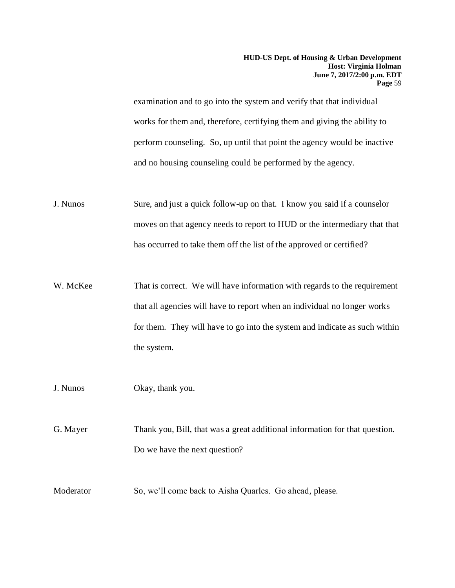examination and to go into the system and verify that that individual works for them and, therefore, certifying them and giving the ability to perform counseling. So, up until that point the agency would be inactive and no housing counseling could be performed by the agency.

- J. Nunos Sure, and just a quick follow-up on that. I know you said if a counselor moves on that agency needs to report to HUD or the intermediary that that has occurred to take them off the list of the approved or certified?
- W. McKee That is correct. We will have information with regards to the requirement that all agencies will have to report when an individual no longer works for them. They will have to go into the system and indicate as such within the system.
- J. Nunos Okay, thank you.

G. Mayer Thank you, Bill, that was a great additional information for that question. Do we have the next question?

Moderator So, we'll come back to Aisha Quarles. Go ahead, please.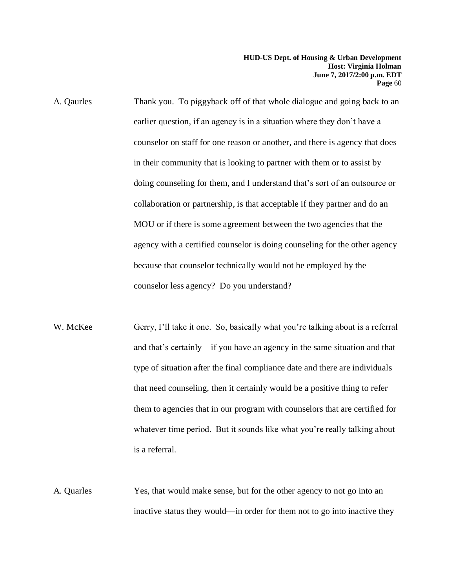- A. Qaurles Thank you. To piggyback off of that whole dialogue and going back to an earlier question, if an agency is in a situation where they don't have a counselor on staff for one reason or another, and there is agency that does in their community that is looking to partner with them or to assist by doing counseling for them, and I understand that's sort of an outsource or collaboration or partnership, is that acceptable if they partner and do an MOU or if there is some agreement between the two agencies that the agency with a certified counselor is doing counseling for the other agency because that counselor technically would not be employed by the counselor less agency? Do you understand?
- W. McKee Gerry, I'll take it one. So, basically what you're talking about is a referral and that's certainly—if you have an agency in the same situation and that type of situation after the final compliance date and there are individuals that need counseling, then it certainly would be a positive thing to refer them to agencies that in our program with counselors that are certified for whatever time period. But it sounds like what you're really talking about is a referral.
- A. Quarles Yes, that would make sense, but for the other agency to not go into an inactive status they would—in order for them not to go into inactive they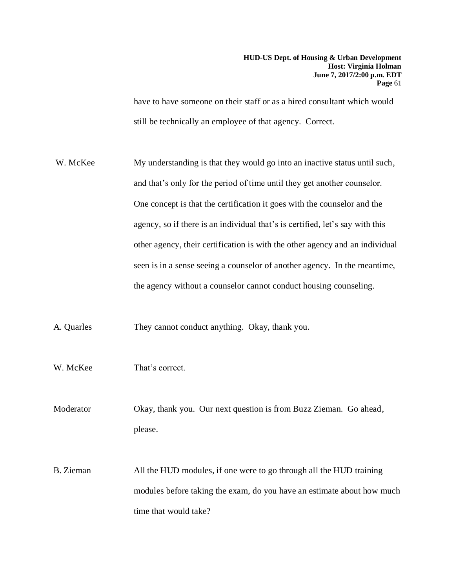have to have someone on their staff or as a hired consultant which would still be technically an employee of that agency. Correct.

W. McKee My understanding is that they would go into an inactive status until such, and that's only for the period of time until they get another counselor. One concept is that the certification it goes with the counselor and the agency, so if there is an individual that's is certified, let's say with this other agency, their certification is with the other agency and an individual seen is in a sense seeing a counselor of another agency. In the meantime, the agency without a counselor cannot conduct housing counseling.

A. Quarles They cannot conduct anything. Okay, thank you.

W. McKee That's correct.

Moderator Okay, thank you. Our next question is from Buzz Zieman. Go ahead, please.

B. Zieman All the HUD modules, if one were to go through all the HUD training modules before taking the exam, do you have an estimate about how much time that would take?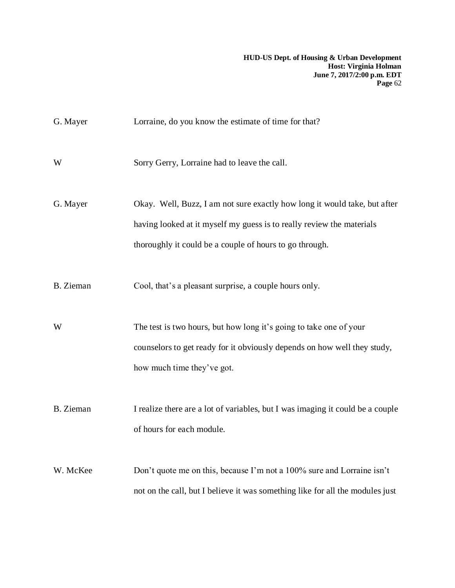| G. Mayer  | Lorraine, do you know the estimate of time for that?                                                                                                                                                          |
|-----------|---------------------------------------------------------------------------------------------------------------------------------------------------------------------------------------------------------------|
| W         | Sorry Gerry, Lorraine had to leave the call.                                                                                                                                                                  |
| G. Mayer  | Okay. Well, Buzz, I am not sure exactly how long it would take, but after<br>having looked at it myself my guess is to really review the materials<br>thoroughly it could be a couple of hours to go through. |
| B. Zieman | Cool, that's a pleasant surprise, a couple hours only.                                                                                                                                                        |
| W         | The test is two hours, but how long it's going to take one of your<br>counselors to get ready for it obviously depends on how well they study,<br>how much time they've got.                                  |
| B. Zieman | I realize there are a lot of variables, but I was imaging it could be a couple<br>of hours for each module.                                                                                                   |
| W. McKee  | Don't quote me on this, because I'm not a 100% sure and Lorraine isn't<br>not on the call, but I believe it was something like for all the modules just                                                       |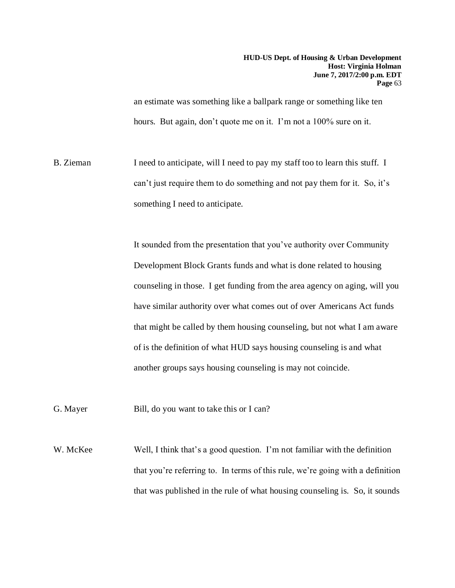an estimate was something like a ballpark range or something like ten hours. But again, don't quote me on it. I'm not a 100% sure on it.

B. Zieman I need to anticipate, will I need to pay my staff too to learn this stuff. I can't just require them to do something and not pay them for it. So, it's something I need to anticipate.

> It sounded from the presentation that you've authority over Community Development Block Grants funds and what is done related to housing counseling in those. I get funding from the area agency on aging, will you have similar authority over what comes out of over Americans Act funds that might be called by them housing counseling, but not what I am aware of is the definition of what HUD says housing counseling is and what another groups says housing counseling is may not coincide.

G. Mayer Bill, do you want to take this or I can?

W. McKee Well, I think that's a good question. I'm not familiar with the definition that you're referring to. In terms of this rule, we're going with a definition that was published in the rule of what housing counseling is. So, it sounds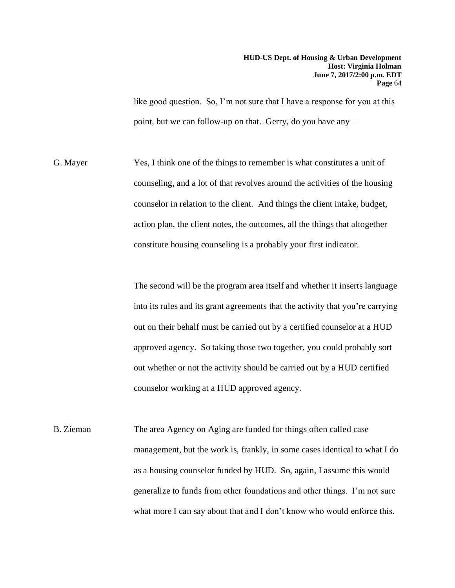like good question. So, I'm not sure that I have a response for you at this point, but we can follow-up on that. Gerry, do you have any—

G. Mayer Yes, I think one of the things to remember is what constitutes a unit of counseling, and a lot of that revolves around the activities of the housing counselor in relation to the client. And things the client intake, budget, action plan, the client notes, the outcomes, all the things that altogether constitute housing counseling is a probably your first indicator.

> The second will be the program area itself and whether it inserts language into its rules and its grant agreements that the activity that you're carrying out on their behalf must be carried out by a certified counselor at a HUD approved agency. So taking those two together, you could probably sort out whether or not the activity should be carried out by a HUD certified counselor working at a HUD approved agency.

B. Zieman The area Agency on Aging are funded for things often called case management, but the work is, frankly, in some cases identical to what I do as a housing counselor funded by HUD. So, again, I assume this would generalize to funds from other foundations and other things. I'm not sure what more I can say about that and I don't know who would enforce this.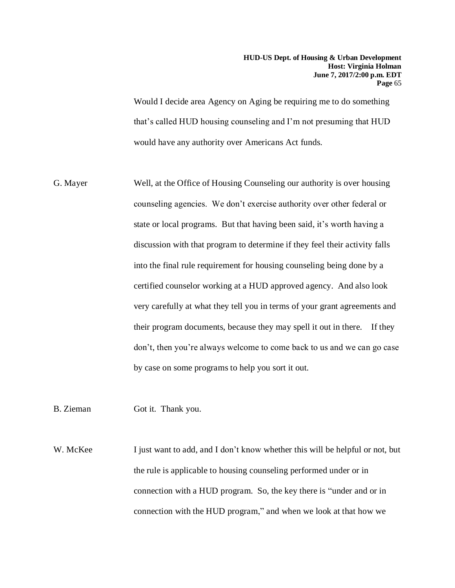Would I decide area Agency on Aging be requiring me to do something that's called HUD housing counseling and I'm not presuming that HUD would have any authority over Americans Act funds.

- G. Mayer Well, at the Office of Housing Counseling our authority is over housing counseling agencies. We don't exercise authority over other federal or state or local programs. But that having been said, it's worth having a discussion with that program to determine if they feel their activity falls into the final rule requirement for housing counseling being done by a certified counselor working at a HUD approved agency. And also look very carefully at what they tell you in terms of your grant agreements and their program documents, because they may spell it out in there. If they don't, then you're always welcome to come back to us and we can go case by case on some programs to help you sort it out.
- B. Zieman Got it. Thank you.

W. McKee I just want to add, and I don't know whether this will be helpful or not, but the rule is applicable to housing counseling performed under or in connection with a HUD program. So, the key there is "under and or in connection with the HUD program," and when we look at that how we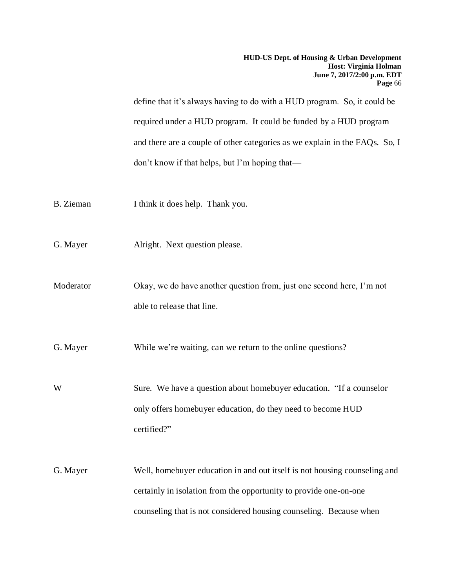| <b>HUD-US Dept. of Housing &amp; Urban Development</b> |
|--------------------------------------------------------|
| Host: Virginia Holman                                  |
| June 7, 2017/2:00 p.m. EDT                             |
| Page 66                                                |

define that it's always having to do with a HUD program. So, it could be required under a HUD program. It could be funded by a HUD program and there are a couple of other categories as we explain in the FAQs. So, I don't know if that helps, but I'm hoping that—

- B. Zieman I think it does help. Thank you.
- G. Mayer Alright. Next question please.
- Moderator Okay, we do have another question from, just one second here, I'm not able to release that line.

G. Mayer While we're waiting, can we return to the online questions?

W Sure. We have a question about homebuyer education. "If a counselor only offers homebuyer education, do they need to become HUD certified?"

G. Mayer Well, homebuyer education in and out itself is not housing counseling and certainly in isolation from the opportunity to provide one-on-one counseling that is not considered housing counseling. Because when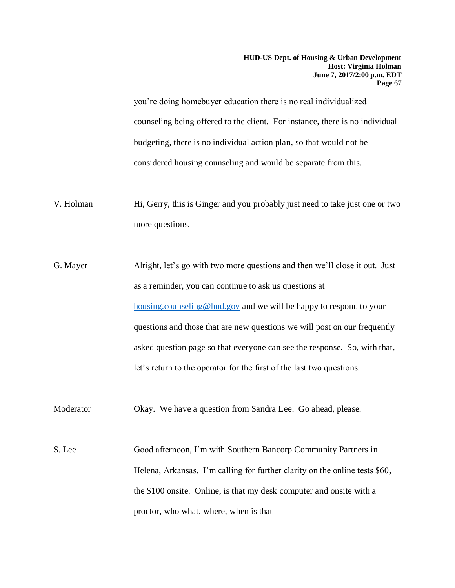you're doing homebuyer education there is no real individualized counseling being offered to the client. For instance, there is no individual budgeting, there is no individual action plan, so that would not be considered housing counseling and would be separate from this.

V. Holman Hi, Gerry, this is Ginger and you probably just need to take just one or two more questions.

G. Mayer Alright, let's go with two more questions and then we'll close it out. Just as a reminder, you can continue to ask us questions at [housing.counseling@hud.gov](mailto:housing.counseling@hud.gov) and we will be happy to respond to your questions and those that are new questions we will post on our frequently asked question page so that everyone can see the response. So, with that, let's return to the operator for the first of the last two questions.

Moderator Okay. We have a question from Sandra Lee. Go ahead, please.

S. Lee Good afternoon, I'm with Southern Bancorp Community Partners in Helena, Arkansas. I'm calling for further clarity on the online tests \$60, the \$100 onsite. Online, is that my desk computer and onsite with a proctor, who what, where, when is that—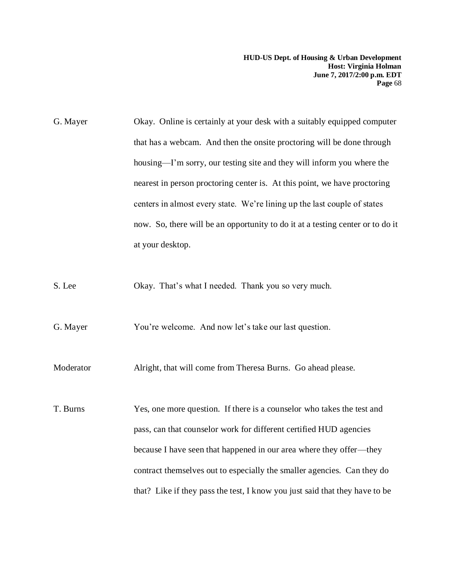| G. Mayer | Okay. Online is certainly at your desk with a suitably equipped computer       |
|----------|--------------------------------------------------------------------------------|
|          | that has a webcam. And then the onsite proctoring will be done through         |
|          | housing—I'm sorry, our testing site and they will inform you where the         |
|          | nearest in person proctoring center is. At this point, we have proctoring      |
|          | centers in almost every state. We're lining up the last couple of states       |
|          | now. So, there will be an opportunity to do it at a testing center or to do it |
|          | at your desktop.                                                               |

S. Lee Okay. That's what I needed. Thank you so very much.

G. Mayer You're welcome. And now let's take our last question.

Moderator Alright, that will come from Theresa Burns. Go ahead please.

T. Burns Yes, one more question. If there is a counselor who takes the test and pass, can that counselor work for different certified HUD agencies because I have seen that happened in our area where they offer—they contract themselves out to especially the smaller agencies. Can they do that? Like if they pass the test, I know you just said that they have to be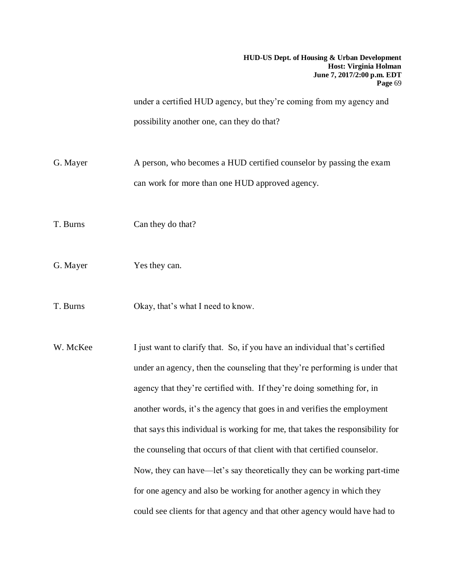under a certified HUD agency, but they're coming from my agency and possibility another one, can they do that?

G. Mayer A person, who becomes a HUD certified counselor by passing the exam can work for more than one HUD approved agency.

T. Burns Can they do that?

G. Mayer Yes they can.

T. Burns Okay, that's what I need to know.

W. McKee I just want to clarify that. So, if you have an individual that's certified under an agency, then the counseling that they're performing is under that agency that they're certified with. If they're doing something for, in another words, it's the agency that goes in and verifies the employment that says this individual is working for me, that takes the responsibility for the counseling that occurs of that client with that certified counselor. Now, they can have—let's say theoretically they can be working part-time for one agency and also be working for another agency in which they could see clients for that agency and that other agency would have had to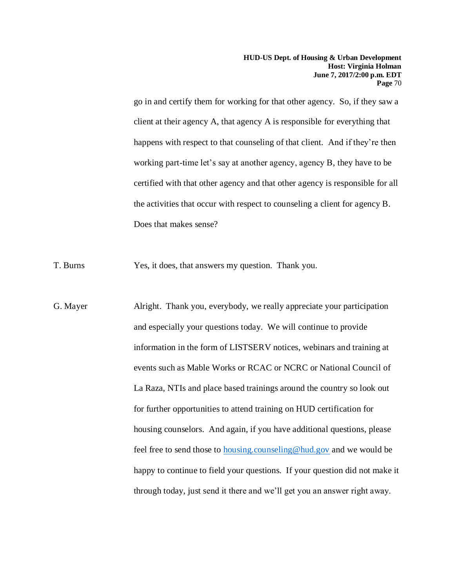go in and certify them for working for that other agency. So, if they saw a client at their agency A, that agency A is responsible for everything that happens with respect to that counseling of that client. And if they're then working part-time let's say at another agency, agency B, they have to be certified with that other agency and that other agency is responsible for all the activities that occur with respect to counseling a client for agency B. Does that makes sense?

T. Burns Yes, it does, that answers my question. Thank you.

G. Mayer Alright. Thank you, everybody, we really appreciate your participation and especially your questions today. We will continue to provide information in the form of LISTSERV notices, webinars and training at events such as Mable Works or RCAC or NCRC or National Council of La Raza, NTIs and place based trainings around the country so look out for further opportunities to attend training on HUD certification for housing counselors. And again, if you have additional questions, please feel free to send those to [housing.counseling@hud.gov](mailto:housing.counseling@hud.gov) and we would be happy to continue to field your questions. If your question did not make it through today, just send it there and we'll get you an answer right away.